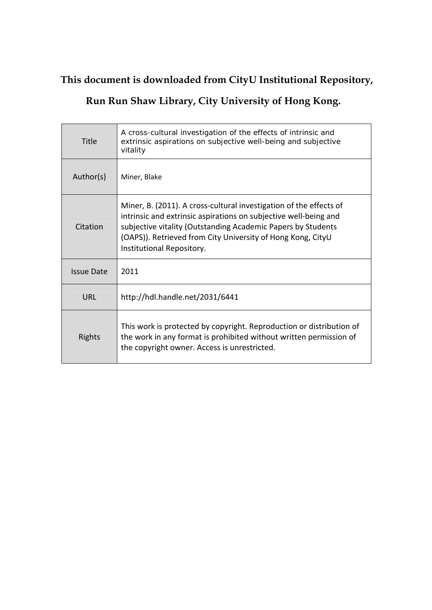# **This document is downloaded from CityU Institutional Repository,**

## **Run Run Shaw Library, City University of Hong Kong.**

| Title             | A cross-cultural investigation of the effects of intrinsic and<br>extrinsic aspirations on subjective well-being and subjective<br>vitality                                                                                                                                                        |
|-------------------|----------------------------------------------------------------------------------------------------------------------------------------------------------------------------------------------------------------------------------------------------------------------------------------------------|
| Author(s)         | Miner, Blake                                                                                                                                                                                                                                                                                       |
| Citation          | Miner, B. (2011). A cross-cultural investigation of the effects of<br>intrinsic and extrinsic aspirations on subjective well-being and<br>subjective vitality (Outstanding Academic Papers by Students<br>(OAPS)). Retrieved from City University of Hong Kong, CityU<br>Institutional Repository. |
| <b>Issue Date</b> | 2011                                                                                                                                                                                                                                                                                               |
| URL               | http://hdl.handle.net/2031/6441                                                                                                                                                                                                                                                                    |
| Rights            | This work is protected by copyright. Reproduction or distribution of<br>the work in any format is prohibited without written permission of<br>the copyright owner. Access is unrestricted.                                                                                                         |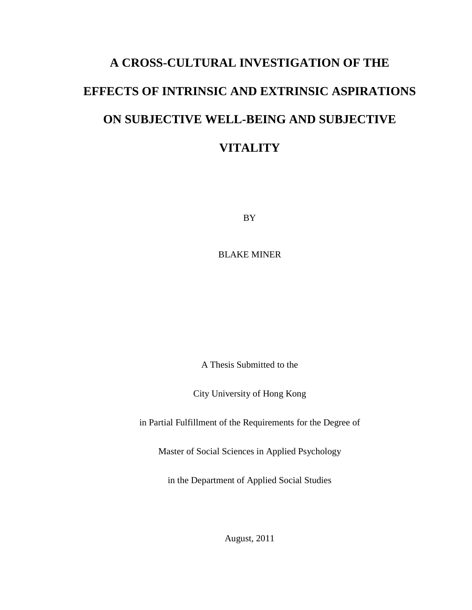# **A CROSS-CULTURAL INVESTIGATION OF THE EFFECTS OF INTRINSIC AND EXTRINSIC ASPIRATIONS ON SUBJECTIVE WELL-BEING AND SUBJECTIVE VITALITY**

BY

BLAKE MINER

A Thesis Submitted to the

City University of Hong Kong

in Partial Fulfillment of the Requirements for the Degree of

Master of Social Sciences in Applied Psychology

in the Department of Applied Social Studies

August, 2011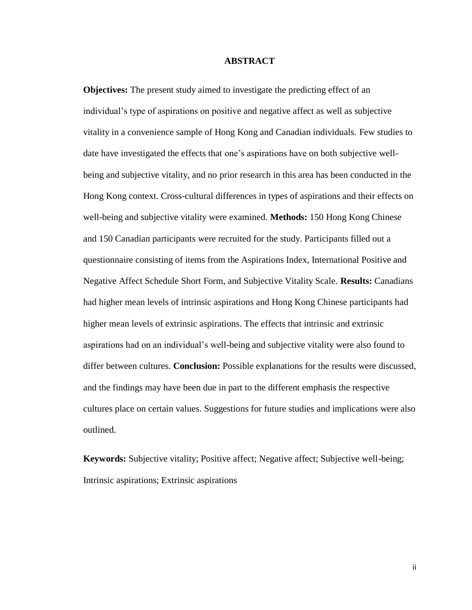#### **ABSTRACT**

**Objectives:** The present study aimed to investigate the predicting effect of an individual's type of aspirations on positive and negative affect as well as subjective vitality in a convenience sample of Hong Kong and Canadian individuals. Few studies to date have investigated the effects that one's aspirations have on both subjective wellbeing and subjective vitality, and no prior research in this area has been conducted in the Hong Kong context. Cross-cultural differences in types of aspirations and their effects on well-being and subjective vitality were examined. **Methods:** 150 Hong Kong Chinese and 150 Canadian participants were recruited for the study. Participants filled out a questionnaire consisting of items from the Aspirations Index, International Positive and Negative Affect Schedule Short Form, and Subjective Vitality Scale. **Results:** Canadians had higher mean levels of intrinsic aspirations and Hong Kong Chinese participants had higher mean levels of extrinsic aspirations. The effects that intrinsic and extrinsic aspirations had on an individual's well-being and subjective vitality were also found to differ between cultures. **Conclusion:** Possible explanations for the results were discussed, and the findings may have been due in part to the different emphasis the respective cultures place on certain values. Suggestions for future studies and implications were also outlined.

**Keywords:** Subjective vitality; Positive affect; Negative affect; Subjective well-being; Intrinsic aspirations; Extrinsic aspirations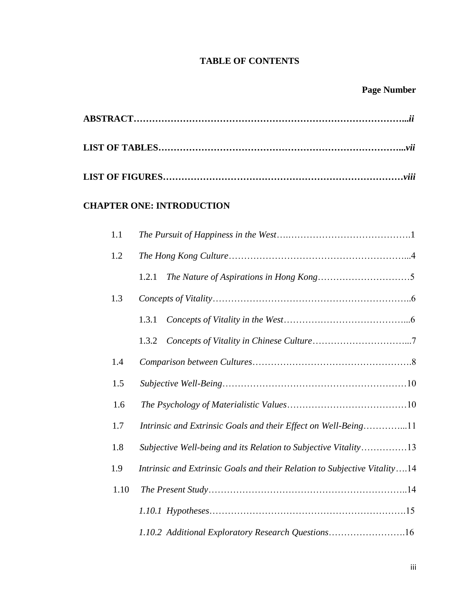## **TABLE OF CONTENTS**

## **Page Number**

## **CHAPTER ONE: INTRODUCTION**

| 1.1  |                                                                           |
|------|---------------------------------------------------------------------------|
| 1.2  |                                                                           |
|      | 1.2.1                                                                     |
| 1.3  |                                                                           |
|      | 1.3.1                                                                     |
|      | 1.3.2                                                                     |
| 1.4  |                                                                           |
| 1.5  |                                                                           |
| 1.6  |                                                                           |
| 1.7  | Intrinsic and Extrinsic Goals and their Effect on Well-Being11            |
| 1.8  | Subjective Well-being and its Relation to Subjective Vitality13           |
| 1.9  | Intrinsic and Extrinsic Goals and their Relation to Subjective Vitality14 |
| 1.10 |                                                                           |
|      |                                                                           |
|      | 1.10.2 Additional Exploratory Research Questions16                        |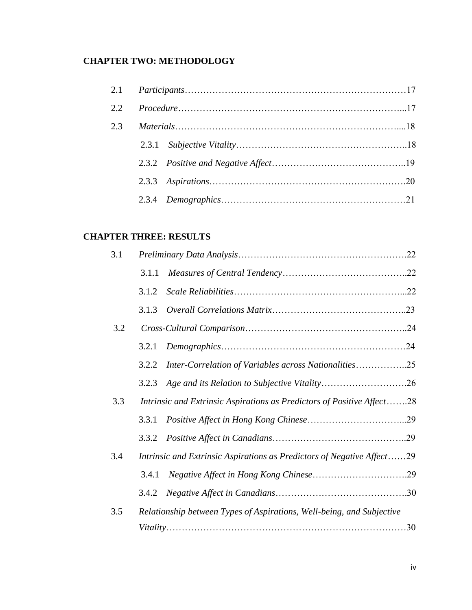## **CHAPTER TWO: METHODOLOGY**

## **CHAPTER THREE: RESULTS**

| 3.1 |                                                                        |  |
|-----|------------------------------------------------------------------------|--|
|     | 3.1.1                                                                  |  |
|     | 3.1.2                                                                  |  |
|     | 3.1.3                                                                  |  |
| 3.2 |                                                                        |  |
|     | 3.2.1                                                                  |  |
|     | Inter-Correlation of Variables across Nationalities25<br>3.2.2         |  |
|     | 3.2.3                                                                  |  |
| 3.3 | Intrinsic and Extrinsic Aspirations as Predictors of Positive Affect28 |  |
|     | 3.3.1                                                                  |  |
|     | 3.3.2                                                                  |  |
| 3.4 | Intrinsic and Extrinsic Aspirations as Predictors of Negative Affect29 |  |
|     | 3.4.1                                                                  |  |
|     | 3.4.2                                                                  |  |
| 3.5 | Relationship between Types of Aspirations, Well-being, and Subjective  |  |
|     |                                                                        |  |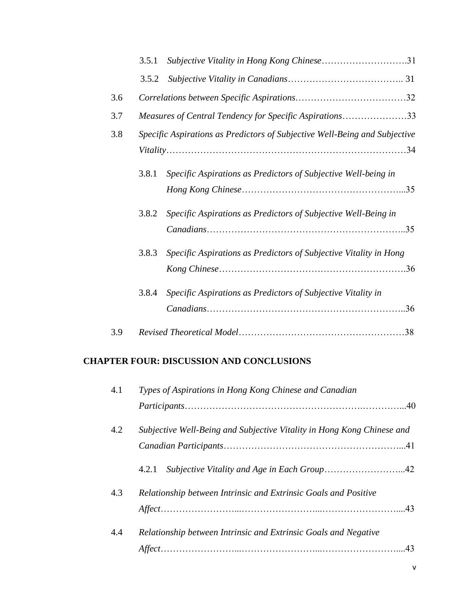|     | 3.5.1 | Subjective Vitality in Hong Kong Chinese31                                 |
|-----|-------|----------------------------------------------------------------------------|
|     | 3.5.2 |                                                                            |
| 3.6 |       |                                                                            |
| 3.7 |       | Measures of Central Tendency for Specific Aspirations33                    |
| 3.8 |       | Specific Aspirations as Predictors of Subjective Well-Being and Subjective |
|     |       |                                                                            |
|     | 3.8.1 | Specific Aspirations as Predictors of Subjective Well-being in             |
|     |       |                                                                            |
|     | 3.8.2 | Specific Aspirations as Predictors of Subjective Well-Being in             |
|     |       | 35                                                                         |
|     | 3.8.3 | Specific Aspirations as Predictors of Subjective Vitality in Hong          |
|     |       |                                                                            |
|     | 3.8.4 | Specific Aspirations as Predictors of Subjective Vitality in               |
|     |       |                                                                            |
| 3.9 |       |                                                                            |

## **CHAPTER FOUR: DISCUSSION AND CONCLUSIONS**

| 4.1 | Types of Aspirations in Hong Kong Chinese and Canadian                 |     |  |  |
|-----|------------------------------------------------------------------------|-----|--|--|
|     |                                                                        |     |  |  |
| 4.2 | Subjective Well-Being and Subjective Vitality in Hong Kong Chinese and |     |  |  |
|     |                                                                        |     |  |  |
|     | 4.2.1                                                                  |     |  |  |
| 4.3 | Relationship between Intrinsic and Extrinsic Goals and Positive        |     |  |  |
|     |                                                                        |     |  |  |
| 4.4 | Relationship between Intrinsic and Extrinsic Goals and Negative        |     |  |  |
|     |                                                                        | .43 |  |  |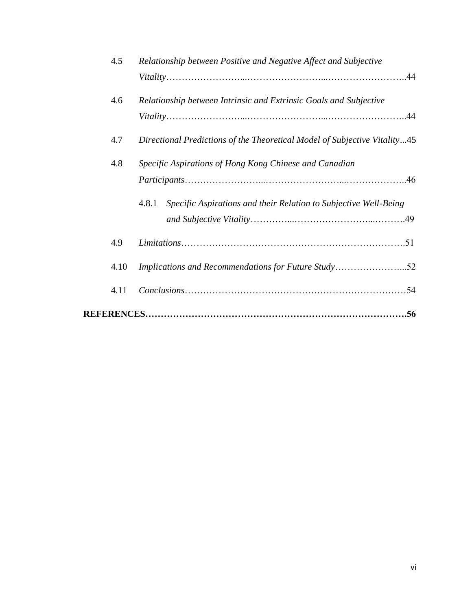| 4.5  | Relationship between Positive and Negative Affect and Subjective          |
|------|---------------------------------------------------------------------------|
|      |                                                                           |
| 4.6  | Relationship between Intrinsic and Extrinsic Goals and Subjective         |
|      |                                                                           |
| 4.7  | Directional Predictions of the Theoretical Model of Subjective Vitality45 |
| 4.8  | Specific Aspirations of Hong Kong Chinese and Canadian                    |
|      |                                                                           |
|      | Specific Aspirations and their Relation to Subjective Well-Being<br>4.8.1 |
|      |                                                                           |
| 4.9  |                                                                           |
| 4.10 | Implications and Recommendations for Future Study52                       |
| 4.11 |                                                                           |
|      |                                                                           |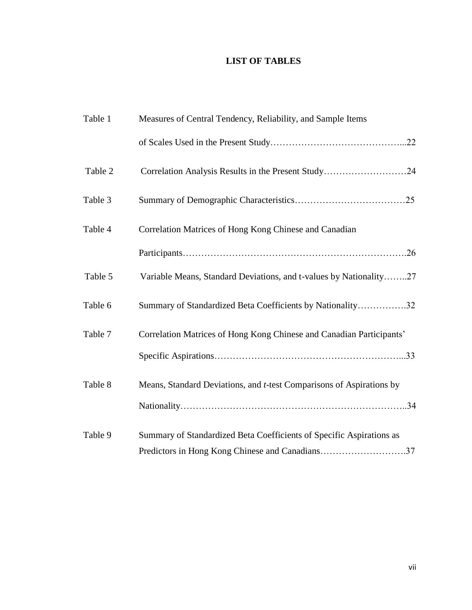## **LIST OF TABLES**

| Table 1 | Measures of Central Tendency, Reliability, and Sample Items                  |
|---------|------------------------------------------------------------------------------|
|         |                                                                              |
| Table 2 | Correlation Analysis Results in the Present Study24                          |
| Table 3 |                                                                              |
| Table 4 | Correlation Matrices of Hong Kong Chinese and Canadian                       |
|         |                                                                              |
| Table 5 | Variable Means, Standard Deviations, and t-values by Nationality27           |
| Table 6 | Summary of Standardized Beta Coefficients by Nationality32                   |
| Table 7 | Correlation Matrices of Hong Kong Chinese and Canadian Participants'         |
|         |                                                                              |
| Table 8 | Means, Standard Deviations, and <i>t</i> -test Comparisons of Aspirations by |
|         |                                                                              |
| Table 9 | Summary of Standardized Beta Coefficients of Specific Aspirations as         |
|         | Predictors in Hong Kong Chinese and Canadians37                              |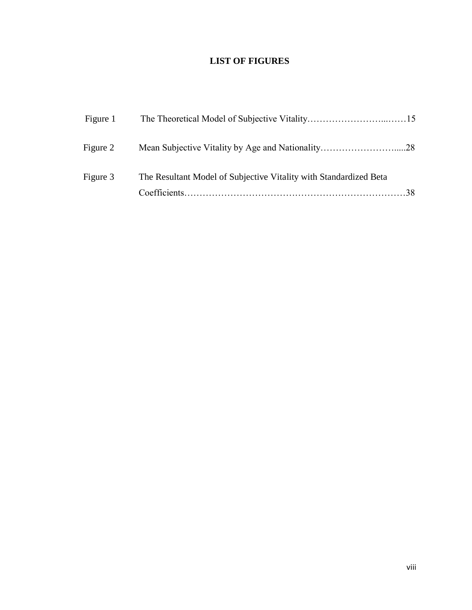## **LIST OF FIGURES**

| Figure 1 |                                                                   |  |
|----------|-------------------------------------------------------------------|--|
| Figure 2 |                                                                   |  |
| Figure 3 | The Resultant Model of Subjective Vitality with Standardized Beta |  |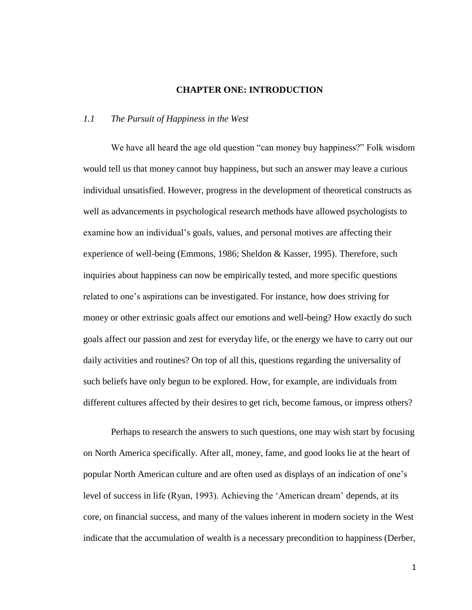#### **CHAPTER ONE: INTRODUCTION**

#### *1.1 The Pursuit of Happiness in the West*

We have all heard the age old question "can money buy happiness?" Folk wisdom would tell us that money cannot buy happiness, but such an answer may leave a curious individual unsatisfied. However, progress in the development of theoretical constructs as well as advancements in psychological research methods have allowed psychologists to examine how an individual's goals, values, and personal motives are affecting their experience of well-being (Emmons, 1986; Sheldon & Kasser, 1995). Therefore, such inquiries about happiness can now be empirically tested, and more specific questions related to one's aspirations can be investigated. For instance, how does striving for money or other extrinsic goals affect our emotions and well-being? How exactly do such goals affect our passion and zest for everyday life, or the energy we have to carry out our daily activities and routines? On top of all this, questions regarding the universality of such beliefs have only begun to be explored. How, for example, are individuals from different cultures affected by their desires to get rich, become famous, or impress others?

Perhaps to research the answers to such questions, one may wish start by focusing on North America specifically. After all, money, fame, and good looks lie at the heart of popular North American culture and are often used as displays of an indication of one's level of success in life (Ryan, 1993). Achieving the 'American dream' depends, at its core, on financial success, and many of the values inherent in modern society in the West indicate that the accumulation of wealth is a necessary precondition to happiness (Derber,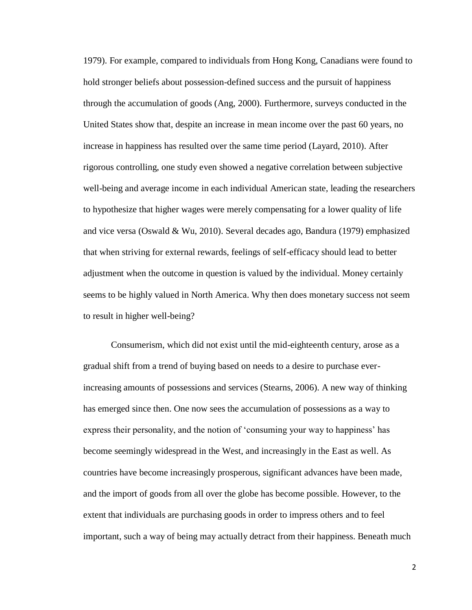1979). For example, compared to individuals from Hong Kong, Canadians were found to hold stronger beliefs about possession-defined success and the pursuit of happiness through the accumulation of goods (Ang, 2000). Furthermore, surveys conducted in the United States show that, despite an increase in mean income over the past 60 years, no increase in happiness has resulted over the same time period (Layard, 2010). After rigorous controlling, one study even showed a negative correlation between subjective well-being and average income in each individual American state*,* leading the researchers to hypothesize that higher wages were merely compensating for a lower quality of life and vice versa (Oswald & Wu, 2010). Several decades ago, Bandura (1979) emphasized that when striving for external rewards, feelings of self-efficacy should lead to better adjustment when the outcome in question is valued by the individual. Money certainly seems to be highly valued in North America. Why then does monetary success not seem to result in higher well-being?

Consumerism, which did not exist until the mid-eighteenth century, arose as a gradual shift from a trend of buying based on needs to a desire to purchase everincreasing amounts of possessions and services (Stearns, 2006). A new way of thinking has emerged since then. One now sees the accumulation of possessions as a way to express their personality, and the notion of 'consuming your way to happiness' has become seemingly widespread in the West, and increasingly in the East as well. As countries have become increasingly prosperous, significant advances have been made, and the import of goods from all over the globe has become possible. However, to the extent that individuals are purchasing goods in order to impress others and to feel important, such a way of being may actually detract from their happiness. Beneath much

2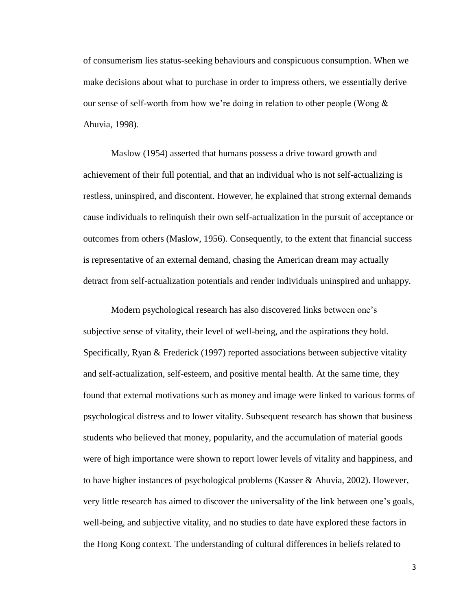of consumerism lies status-seeking behaviours and conspicuous consumption. When we make decisions about what to purchase in order to impress others, we essentially derive our sense of self-worth from how we're doing in relation to other people (Wong  $\&$ Ahuvia, 1998).

Maslow (1954) asserted that humans possess a drive toward growth and achievement of their full potential, and that an individual who is not self-actualizing is restless, uninspired, and discontent. However, he explained that strong external demands cause individuals to relinquish their own self-actualization in the pursuit of acceptance or outcomes from others (Maslow, 1956). Consequently, to the extent that financial success is representative of an external demand, chasing the American dream may actually detract from self-actualization potentials and render individuals uninspired and unhappy.

Modern psychological research has also discovered links between one's subjective sense of vitality, their level of well-being, and the aspirations they hold. Specifically, Ryan & Frederick (1997) reported associations between subjective vitality and self-actualization, self-esteem, and positive mental health. At the same time, they found that external motivations such as money and image were linked to various forms of psychological distress and to lower vitality. Subsequent research has shown that business students who believed that money, popularity, and the accumulation of material goods were of high importance were shown to report lower levels of vitality and happiness, and to have higher instances of psychological problems (Kasser & Ahuvia, 2002). However, very little research has aimed to discover the universality of the link between one's goals, well-being, and subjective vitality, and no studies to date have explored these factors in the Hong Kong context. The understanding of cultural differences in beliefs related to

3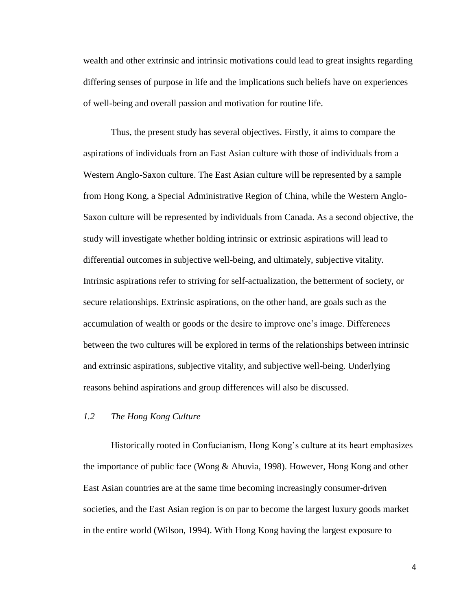wealth and other extrinsic and intrinsic motivations could lead to great insights regarding differing senses of purpose in life and the implications such beliefs have on experiences of well-being and overall passion and motivation for routine life.

Thus, the present study has several objectives. Firstly, it aims to compare the aspirations of individuals from an East Asian culture with those of individuals from a Western Anglo-Saxon culture. The East Asian culture will be represented by a sample from Hong Kong, a Special Administrative Region of China, while the Western Anglo-Saxon culture will be represented by individuals from Canada. As a second objective, the study will investigate whether holding intrinsic or extrinsic aspirations will lead to differential outcomes in subjective well-being, and ultimately, subjective vitality. Intrinsic aspirations refer to striving for self-actualization, the betterment of society, or secure relationships. Extrinsic aspirations, on the other hand, are goals such as the accumulation of wealth or goods or the desire to improve one's image. Differences between the two cultures will be explored in terms of the relationships between intrinsic and extrinsic aspirations, subjective vitality, and subjective well-being. Underlying reasons behind aspirations and group differences will also be discussed.

#### *1.2 The Hong Kong Culture*

Historically rooted in Confucianism, Hong Kong's culture at its heart emphasizes the importance of public face (Wong & Ahuvia, 1998). However, Hong Kong and other East Asian countries are at the same time becoming increasingly consumer-driven societies, and the East Asian region is on par to become the largest luxury goods market in the entire world (Wilson, 1994). With Hong Kong having the largest exposure to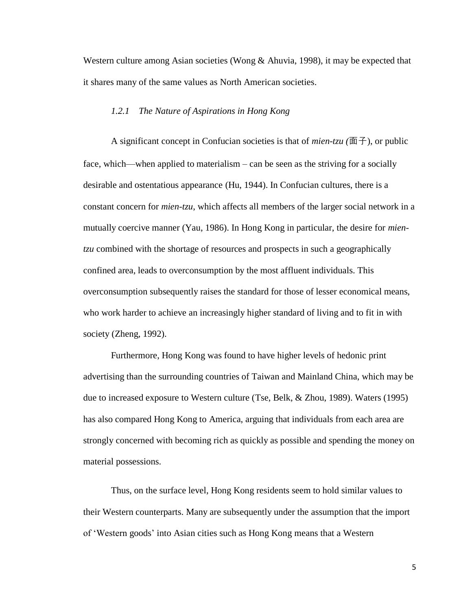Western culture among Asian societies (Wong & Ahuvia, 1998), it may be expected that it shares many of the same values as North American societies.

#### *1.2.1 The Nature of Aspirations in Hong Kong*

A significant concept in Confucian societies is that of *mien-tzu (*面子), or public face, which—when applied to materialism – can be seen as the striving for a socially desirable and ostentatious appearance (Hu, 1944). In Confucian cultures, there is a constant concern for *mien-tzu*, which affects all members of the larger social network in a mutually coercive manner (Yau, 1986). In Hong Kong in particular, the desire for *mientzu* combined with the shortage of resources and prospects in such a geographically confined area, leads to overconsumption by the most affluent individuals. This overconsumption subsequently raises the standard for those of lesser economical means, who work harder to achieve an increasingly higher standard of living and to fit in with society (Zheng, 1992).

Furthermore, Hong Kong was found to have higher levels of hedonic print advertising than the surrounding countries of Taiwan and Mainland China, which may be due to increased exposure to Western culture (Tse, Belk, & Zhou, 1989). Waters (1995) has also compared Hong Kong to America, arguing that individuals from each area are strongly concerned with becoming rich as quickly as possible and spending the money on material possessions.

Thus, on the surface level, Hong Kong residents seem to hold similar values to their Western counterparts. Many are subsequently under the assumption that the import of ‗Western goods' into Asian cities such as Hong Kong means that a Western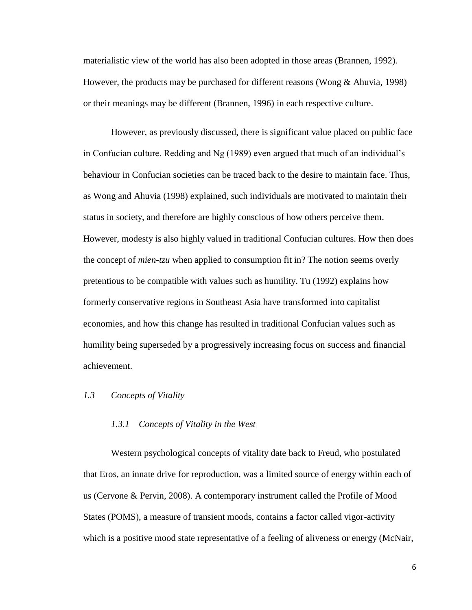materialistic view of the world has also been adopted in those areas (Brannen, 1992). However, the products may be purchased for different reasons (Wong & Ahuvia, 1998) or their meanings may be different (Brannen, 1996) in each respective culture.

However, as previously discussed, there is significant value placed on public face in Confucian culture. Redding and Ng (1989) even argued that much of an individual's behaviour in Confucian societies can be traced back to the desire to maintain face. Thus, as Wong and Ahuvia (1998) explained, such individuals are motivated to maintain their status in society, and therefore are highly conscious of how others perceive them. However, modesty is also highly valued in traditional Confucian cultures. How then does the concept of *mien-tzu* when applied to consumption fit in? The notion seems overly pretentious to be compatible with values such as humility. Tu (1992) explains how formerly conservative regions in Southeast Asia have transformed into capitalist economies, and how this change has resulted in traditional Confucian values such as humility being superseded by a progressively increasing focus on success and financial achievement.

#### *1.3 Concepts of Vitality*

#### *1.3.1 Concepts of Vitality in the West*

Western psychological concepts of vitality date back to Freud, who postulated that Eros, an innate drive for reproduction, was a limited source of energy within each of us (Cervone & Pervin, 2008). A contemporary instrument called the Profile of Mood States (POMS), a measure of transient moods, contains a factor called vigor-activity which is a positive mood state representative of a feeling of aliveness or energy (McNair,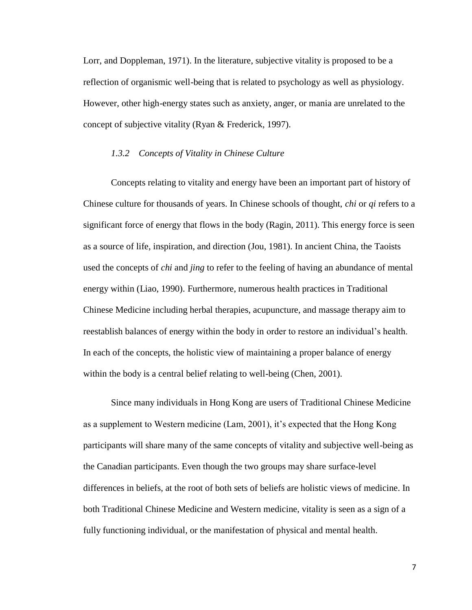Lorr, and Doppleman, 1971). In the literature, subjective vitality is proposed to be a reflection of organismic well-being that is related to psychology as well as physiology. However, other high-energy states such as anxiety, anger, or mania are unrelated to the concept of subjective vitality (Ryan & Frederick, 1997).

#### *1.3.2 Concepts of Vitality in Chinese Culture*

Concepts relating to vitality and energy have been an important part of history of Chinese culture for thousands of years. In Chinese schools of thought, *chi* or *qi* refers to a significant force of energy that flows in the body (Ragin, 2011). This energy force is seen as a source of life, inspiration, and direction (Jou, 1981). In ancient China, the Taoists used the concepts of *chi* and *jing* to refer to the feeling of having an abundance of mental energy within (Liao, 1990). Furthermore, numerous health practices in Traditional Chinese Medicine including herbal therapies, acupuncture, and massage therapy aim to reestablish balances of energy within the body in order to restore an individual's health. In each of the concepts, the holistic view of maintaining a proper balance of energy within the body is a central belief relating to well-being (Chen, 2001).

Since many individuals in Hong Kong are users of Traditional Chinese Medicine as a supplement to Western medicine (Lam, 2001), it's expected that the Hong Kong participants will share many of the same concepts of vitality and subjective well-being as the Canadian participants. Even though the two groups may share surface-level differences in beliefs, at the root of both sets of beliefs are holistic views of medicine. In both Traditional Chinese Medicine and Western medicine, vitality is seen as a sign of a fully functioning individual, or the manifestation of physical and mental health.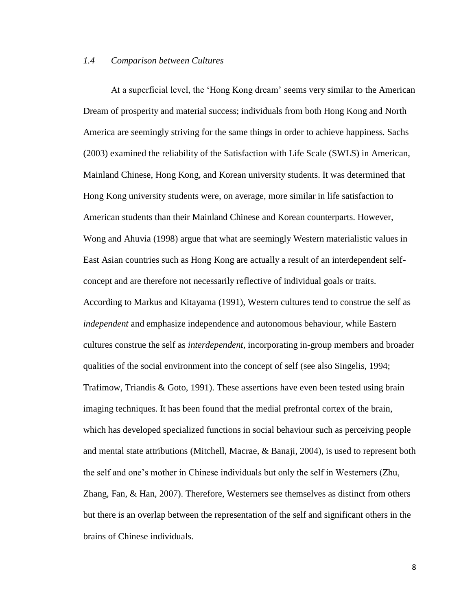#### *1.4 Comparison between Cultures*

At a superficial level, the 'Hong Kong dream' seems very similar to the American Dream of prosperity and material success; individuals from both Hong Kong and North America are seemingly striving for the same things in order to achieve happiness. Sachs (2003) examined the reliability of the Satisfaction with Life Scale (SWLS) in American, Mainland Chinese, Hong Kong, and Korean university students. It was determined that Hong Kong university students were, on average, more similar in life satisfaction to American students than their Mainland Chinese and Korean counterparts. However, Wong and Ahuvia (1998) argue that what are seemingly Western materialistic values in East Asian countries such as Hong Kong are actually a result of an interdependent selfconcept and are therefore not necessarily reflective of individual goals or traits. According to Markus and Kitayama (1991), Western cultures tend to construe the self as *independent* and emphasize independence and autonomous behaviour, while Eastern cultures construe the self as *interdependent*, incorporating in-group members and broader qualities of the social environment into the concept of self (see also Singelis, 1994; Trafimow, Triandis & Goto, 1991). These assertions have even been tested using brain imaging techniques. It has been found that the medial prefrontal cortex of the brain, which has developed specialized functions in social behaviour such as perceiving people and mental state attributions (Mitchell, Macrae, & Banaji, 2004), is used to represent both the self and one's mother in Chinese individuals but only the self in Westerners (Zhu, Zhang, Fan, & Han, 2007). Therefore, Westerners see themselves as distinct from others but there is an overlap between the representation of the self and significant others in the brains of Chinese individuals.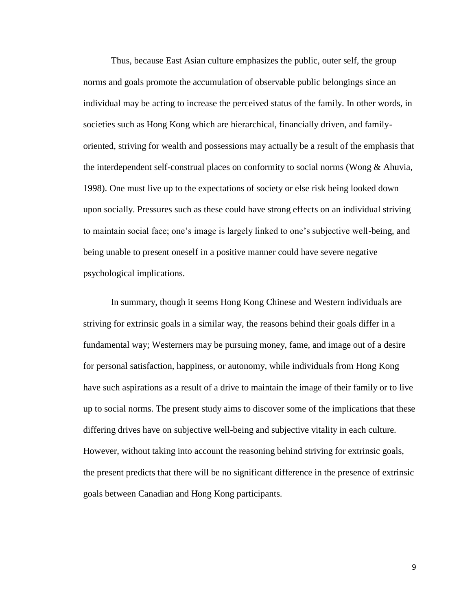Thus, because East Asian culture emphasizes the public, outer self, the group norms and goals promote the accumulation of observable public belongings since an individual may be acting to increase the perceived status of the family. In other words, in societies such as Hong Kong which are hierarchical, financially driven, and familyoriented, striving for wealth and possessions may actually be a result of the emphasis that the interdependent self-construal places on conformity to social norms (Wong & Ahuvia, 1998). One must live up to the expectations of society or else risk being looked down upon socially. Pressures such as these could have strong effects on an individual striving to maintain social face; one's image is largely linked to one's subjective well-being, and being unable to present oneself in a positive manner could have severe negative psychological implications.

In summary, though it seems Hong Kong Chinese and Western individuals are striving for extrinsic goals in a similar way, the reasons behind their goals differ in a fundamental way; Westerners may be pursuing money, fame, and image out of a desire for personal satisfaction, happiness, or autonomy, while individuals from Hong Kong have such aspirations as a result of a drive to maintain the image of their family or to live up to social norms. The present study aims to discover some of the implications that these differing drives have on subjective well-being and subjective vitality in each culture. However, without taking into account the reasoning behind striving for extrinsic goals, the present predicts that there will be no significant difference in the presence of extrinsic goals between Canadian and Hong Kong participants.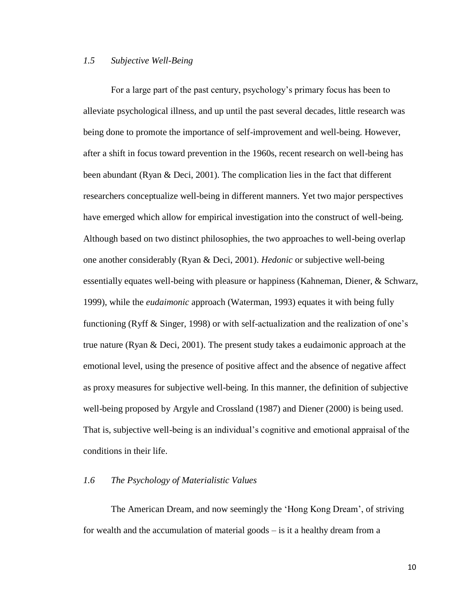#### *1.5 Subjective Well-Being*

For a large part of the past century, psychology's primary focus has been to alleviate psychological illness, and up until the past several decades, little research was being done to promote the importance of self-improvement and well-being. However, after a shift in focus toward prevention in the 1960s, recent research on well-being has been abundant (Ryan & Deci, 2001). The complication lies in the fact that different researchers conceptualize well-being in different manners. Yet two major perspectives have emerged which allow for empirical investigation into the construct of well-being. Although based on two distinct philosophies, the two approaches to well-being overlap one another considerably (Ryan & Deci, 2001). *Hedonic* or subjective well-being essentially equates well-being with pleasure or happiness (Kahneman, Diener, & Schwarz, 1999), while the *eudaimonic* approach (Waterman, 1993) equates it with being fully functioning (Ryff & Singer, 1998) or with self-actualization and the realization of one's true nature (Ryan & Deci, 2001). The present study takes a eudaimonic approach at the emotional level, using the presence of positive affect and the absence of negative affect as proxy measures for subjective well-being. In this manner, the definition of subjective well-being proposed by Argyle and Crossland (1987) and Diener (2000) is being used. That is, subjective well-being is an individual's cognitive and emotional appraisal of the conditions in their life.

#### *1.6 The Psychology of Materialistic Values*

The American Dream, and now seemingly the 'Hong Kong Dream', of striving for wealth and the accumulation of material goods – is it a healthy dream from a

10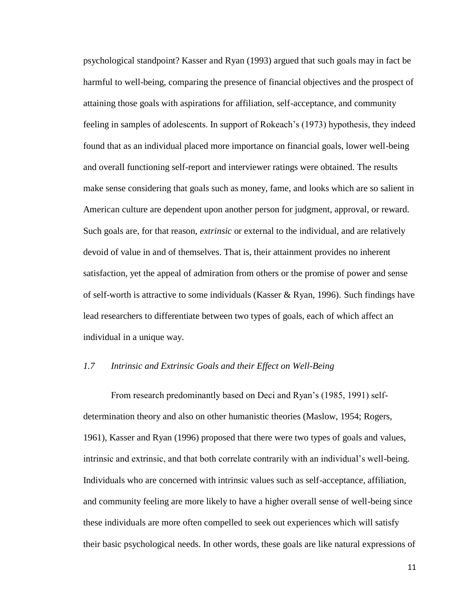psychological standpoint? Kasser and Ryan (1993) argued that such goals may in fact be harmful to well-being, comparing the presence of financial objectives and the prospect of attaining those goals with aspirations for affiliation, self-acceptance, and community feeling in samples of adolescents. In support of Rokeach's (1973) hypothesis, they indeed found that as an individual placed more importance on financial goals, lower well-being and overall functioning self-report and interviewer ratings were obtained. The results make sense considering that goals such as money, fame, and looks which are so salient in American culture are dependent upon another person for judgment, approval, or reward. Such goals are, for that reason, *extrinsic* or external to the individual, and are relatively devoid of value in and of themselves. That is, their attainment provides no inherent satisfaction, yet the appeal of admiration from others or the promise of power and sense of self-worth is attractive to some individuals (Kasser & Ryan, 1996). Such findings have lead researchers to differentiate between two types of goals, each of which affect an individual in a unique way.

#### *1.7 Intrinsic and Extrinsic Goals and their Effect on Well-Being*

From research predominantly based on Deci and Ryan's (1985, 1991) selfdetermination theory and also on other humanistic theories (Maslow, 1954; Rogers, 1961), Kasser and Ryan (1996) proposed that there were two types of goals and values, intrinsic and extrinsic, and that both correlate contrarily with an individual's well-being. Individuals who are concerned with intrinsic values such as self-acceptance, affiliation, and community feeling are more likely to have a higher overall sense of well-being since these individuals are more often compelled to seek out experiences which will satisfy their basic psychological needs. In other words, these goals are like natural expressions of

11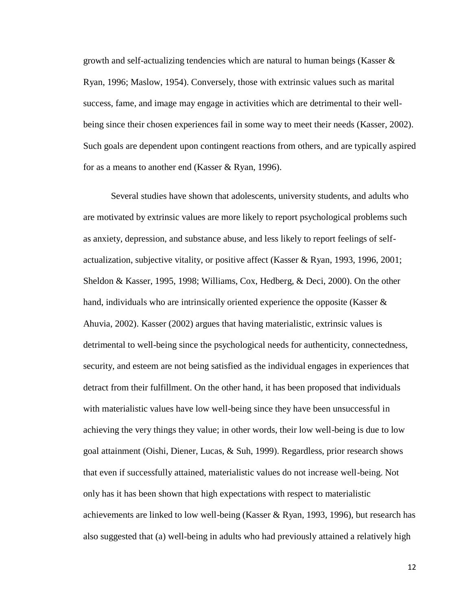growth and self-actualizing tendencies which are natural to human beings (Kasser  $\&$ Ryan, 1996; Maslow, 1954). Conversely, those with extrinsic values such as marital success, fame, and image may engage in activities which are detrimental to their wellbeing since their chosen experiences fail in some way to meet their needs (Kasser, 2002). Such goals are dependent upon contingent reactions from others, and are typically aspired for as a means to another end (Kasser & Ryan, 1996).

Several studies have shown that adolescents, university students, and adults who are motivated by extrinsic values are more likely to report psychological problems such as anxiety, depression, and substance abuse, and less likely to report feelings of selfactualization, subjective vitality, or positive affect (Kasser & Ryan, 1993, 1996, 2001; Sheldon & Kasser, 1995, 1998; Williams, Cox, Hedberg, & Deci, 2000). On the other hand, individuals who are intrinsically oriented experience the opposite (Kasser  $\&$ Ahuvia, 2002). Kasser (2002) argues that having materialistic, extrinsic values is detrimental to well-being since the psychological needs for authenticity, connectedness, security, and esteem are not being satisfied as the individual engages in experiences that detract from their fulfillment. On the other hand, it has been proposed that individuals with materialistic values have low well-being since they have been unsuccessful in achieving the very things they value; in other words, their low well-being is due to low goal attainment (Oishi, Diener, Lucas, & Suh, 1999). Regardless, prior research shows that even if successfully attained, materialistic values do not increase well-being. Not only has it has been shown that high expectations with respect to materialistic achievements are linked to low well-being (Kasser & Ryan, 1993, 1996), but research has also suggested that (a) well-being in adults who had previously attained a relatively high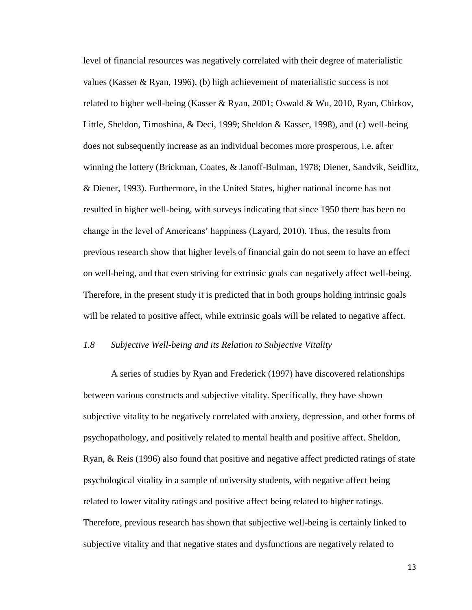level of financial resources was negatively correlated with their degree of materialistic values (Kasser & Ryan, 1996), (b) high achievement of materialistic success is not related to higher well-being (Kasser & Ryan, 2001; Oswald & Wu, 2010, Ryan, Chirkov, Little, Sheldon, Timoshina, & Deci, 1999; Sheldon & Kasser, 1998), and (c) well-being does not subsequently increase as an individual becomes more prosperous, i.e. after winning the lottery (Brickman, Coates, & Janoff-Bulman, 1978; Diener, Sandvik, Seidlitz, & Diener, 1993). Furthermore, in the United States, higher national income has not resulted in higher well-being, with surveys indicating that since 1950 there has been no change in the level of Americans' happiness (Layard, 2010). Thus, the results from previous research show that higher levels of financial gain do not seem to have an effect on well-being, and that even striving for extrinsic goals can negatively affect well-being. Therefore, in the present study it is predicted that in both groups holding intrinsic goals will be related to positive affect, while extrinsic goals will be related to negative affect.

#### *1.8 Subjective Well-being and its Relation to Subjective Vitality*

A series of studies by Ryan and Frederick (1997) have discovered relationships between various constructs and subjective vitality. Specifically, they have shown subjective vitality to be negatively correlated with anxiety, depression, and other forms of psychopathology, and positively related to mental health and positive affect. Sheldon, Ryan, & Reis (1996) also found that positive and negative affect predicted ratings of state psychological vitality in a sample of university students, with negative affect being related to lower vitality ratings and positive affect being related to higher ratings. Therefore, previous research has shown that subjective well-being is certainly linked to subjective vitality and that negative states and dysfunctions are negatively related to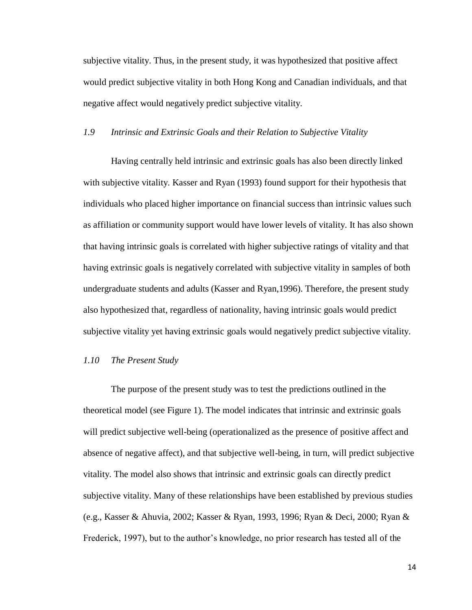subjective vitality. Thus, in the present study, it was hypothesized that positive affect would predict subjective vitality in both Hong Kong and Canadian individuals, and that negative affect would negatively predict subjective vitality.

#### *1.9 Intrinsic and Extrinsic Goals and their Relation to Subjective Vitality*

Having centrally held intrinsic and extrinsic goals has also been directly linked with subjective vitality. Kasser and Ryan (1993) found support for their hypothesis that individuals who placed higher importance on financial success than intrinsic values such as affiliation or community support would have lower levels of vitality. It has also shown that having intrinsic goals is correlated with higher subjective ratings of vitality and that having extrinsic goals is negatively correlated with subjective vitality in samples of both undergraduate students and adults (Kasser and Ryan,1996). Therefore, the present study also hypothesized that, regardless of nationality, having intrinsic goals would predict subjective vitality yet having extrinsic goals would negatively predict subjective vitality.

#### *1.10 The Present Study*

The purpose of the present study was to test the predictions outlined in the theoretical model (see Figure 1). The model indicates that intrinsic and extrinsic goals will predict subjective well-being (operationalized as the presence of positive affect and absence of negative affect), and that subjective well-being, in turn, will predict subjective vitality. The model also shows that intrinsic and extrinsic goals can directly predict subjective vitality. Many of these relationships have been established by previous studies (e.g., Kasser & Ahuvia, 2002; Kasser & Ryan, 1993, 1996; Ryan & Deci, 2000; Ryan & Frederick, 1997), but to the author's knowledge, no prior research has tested all of the

14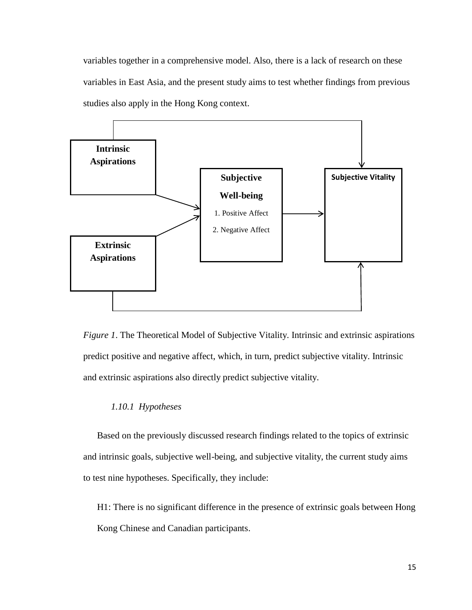variables together in a comprehensive model. Also, there is a lack of research on these variables in East Asia, and the present study aims to test whether findings from previous studies also apply in the Hong Kong context.



*Figure 1*. The Theoretical Model of Subjective Vitality. Intrinsic and extrinsic aspirations predict positive and negative affect, which, in turn, predict subjective vitality. Intrinsic and extrinsic aspirations also directly predict subjective vitality.

#### *1.10.1 Hypotheses*

Based on the previously discussed research findings related to the topics of extrinsic and intrinsic goals, subjective well-being, and subjective vitality, the current study aims to test nine hypotheses. Specifically, they include:

H1: There is no significant difference in the presence of extrinsic goals between Hong Kong Chinese and Canadian participants.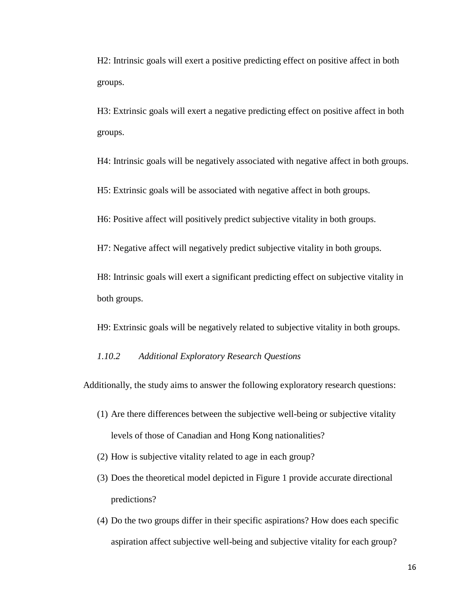H2: Intrinsic goals will exert a positive predicting effect on positive affect in both groups.

H3: Extrinsic goals will exert a negative predicting effect on positive affect in both groups.

H4: Intrinsic goals will be negatively associated with negative affect in both groups.

H5: Extrinsic goals will be associated with negative affect in both groups.

H6: Positive affect will positively predict subjective vitality in both groups.

H7: Negative affect will negatively predict subjective vitality in both groups.

H8: Intrinsic goals will exert a significant predicting effect on subjective vitality in both groups.

H9: Extrinsic goals will be negatively related to subjective vitality in both groups.

#### *1.10.2 Additional Exploratory Research Questions*

Additionally, the study aims to answer the following exploratory research questions:

- (1) Are there differences between the subjective well-being or subjective vitality levels of those of Canadian and Hong Kong nationalities?
- (2) How is subjective vitality related to age in each group?
- (3) Does the theoretical model depicted in Figure 1 provide accurate directional predictions?
- (4) Do the two groups differ in their specific aspirations? How does each specific aspiration affect subjective well-being and subjective vitality for each group?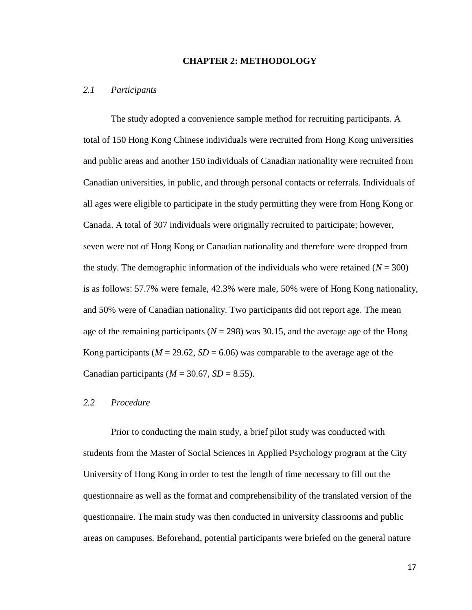#### **CHAPTER 2: METHODOLOGY**

#### *2.1 Participants*

The study adopted a convenience sample method for recruiting participants. A total of 150 Hong Kong Chinese individuals were recruited from Hong Kong universities and public areas and another 150 individuals of Canadian nationality were recruited from Canadian universities, in public, and through personal contacts or referrals. Individuals of all ages were eligible to participate in the study permitting they were from Hong Kong or Canada. A total of 307 individuals were originally recruited to participate; however, seven were not of Hong Kong or Canadian nationality and therefore were dropped from the study. The demographic information of the individuals who were retained  $(N = 300)$ is as follows: 57.7% were female, 42.3% were male, 50% were of Hong Kong nationality, and 50% were of Canadian nationality. Two participants did not report age. The mean age of the remaining participants  $(N = 298)$  was 30.15, and the average age of the Hong Kong participants ( $M = 29.62$ ,  $SD = 6.06$ ) was comparable to the average age of the Canadian participants ( $M = 30.67$ ,  $SD = 8.55$ ).

#### *2.2 Procedure*

Prior to conducting the main study, a brief pilot study was conducted with students from the Master of Social Sciences in Applied Psychology program at the City University of Hong Kong in order to test the length of time necessary to fill out the questionnaire as well as the format and comprehensibility of the translated version of the questionnaire. The main study was then conducted in university classrooms and public areas on campuses. Beforehand, potential participants were briefed on the general nature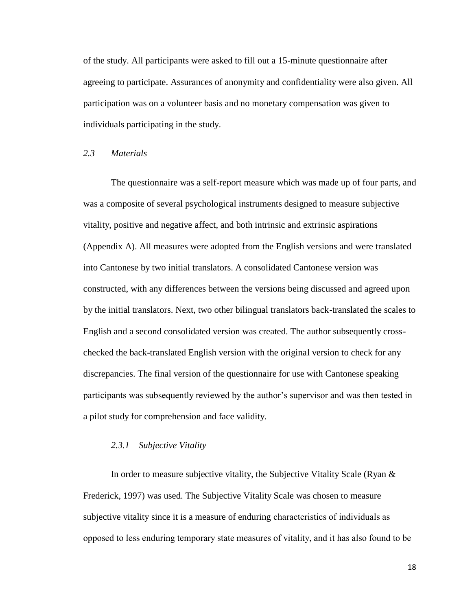of the study. All participants were asked to fill out a 15-minute questionnaire after agreeing to participate. Assurances of anonymity and confidentiality were also given. All participation was on a volunteer basis and no monetary compensation was given to individuals participating in the study.

#### *2.3 Materials*

The questionnaire was a self-report measure which was made up of four parts, and was a composite of several psychological instruments designed to measure subjective vitality, positive and negative affect, and both intrinsic and extrinsic aspirations (Appendix A). All measures were adopted from the English versions and were translated into Cantonese by two initial translators. A consolidated Cantonese version was constructed, with any differences between the versions being discussed and agreed upon by the initial translators. Next, two other bilingual translators back-translated the scales to English and a second consolidated version was created. The author subsequently crosschecked the back-translated English version with the original version to check for any discrepancies. The final version of the questionnaire for use with Cantonese speaking participants was subsequently reviewed by the author's supervisor and was then tested in a pilot study for comprehension and face validity.

#### *2.3.1 Subjective Vitality*

In order to measure subjective vitality, the Subjective Vitality Scale (Ryan & Frederick, 1997) was used. The Subjective Vitality Scale was chosen to measure subjective vitality since it is a measure of enduring characteristics of individuals as opposed to less enduring temporary state measures of vitality, and it has also found to be

18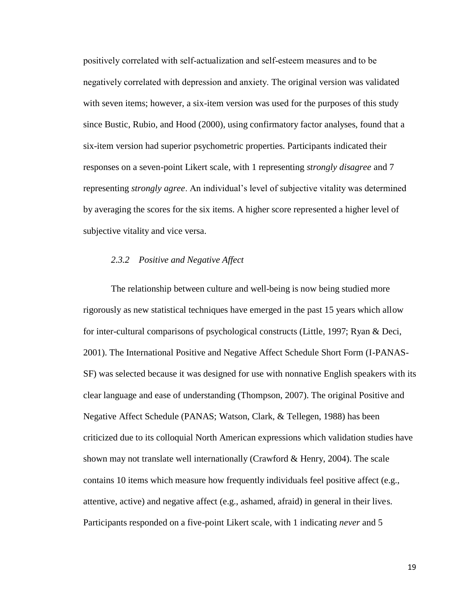positively correlated with self-actualization and self-esteem measures and to be negatively correlated with depression and anxiety. The original version was validated with seven items; however, a six-item version was used for the purposes of this study since Bustic, Rubio, and Hood (2000), using confirmatory factor analyses, found that a six-item version had superior psychometric properties. Participants indicated their responses on a seven-point Likert scale, with 1 representing *strongly disagree* and 7 representing *strongly agree*. An individual's level of subjective vitality was determined by averaging the scores for the six items. A higher score represented a higher level of subjective vitality and vice versa.

#### *2.3.2 Positive and Negative Affect*

The relationship between culture and well-being is now being studied more rigorously as new statistical techniques have emerged in the past 15 years which allow for inter-cultural comparisons of psychological constructs (Little, 1997; Ryan & Deci, 2001). The International Positive and Negative Affect Schedule Short Form (I-PANAS-SF) was selected because it was designed for use with nonnative English speakers with its clear language and ease of understanding (Thompson, 2007). The original Positive and Negative Affect Schedule (PANAS; Watson, Clark, & Tellegen, 1988) has been criticized due to its colloquial North American expressions which validation studies have shown may not translate well internationally (Crawford & Henry, 2004). The scale contains 10 items which measure how frequently individuals feel positive affect (e.g., attentive, active) and negative affect (e.g., ashamed, afraid) in general in their lives. Participants responded on a five-point Likert scale, with 1 indicating *never* and 5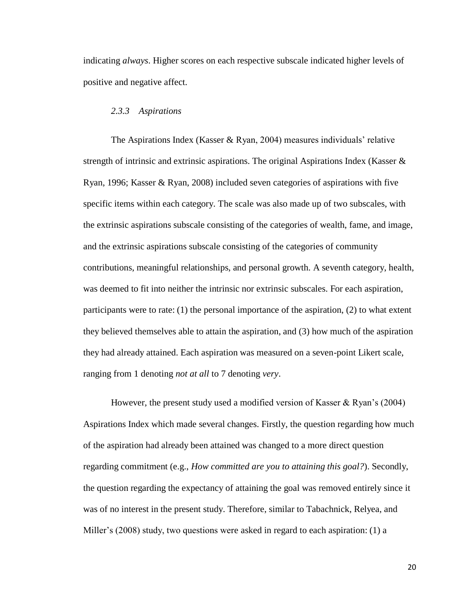indicating *always*. Higher scores on each respective subscale indicated higher levels of positive and negative affect.

#### *2.3.3 Aspirations*

The Aspirations Index (Kasser & Ryan, 2004) measures individuals' relative strength of intrinsic and extrinsic aspirations. The original Aspirations Index (Kasser & Ryan, 1996; Kasser & Ryan, 2008) included seven categories of aspirations with five specific items within each category. The scale was also made up of two subscales, with the extrinsic aspirations subscale consisting of the categories of wealth, fame, and image, and the extrinsic aspirations subscale consisting of the categories of community contributions, meaningful relationships, and personal growth. A seventh category, health, was deemed to fit into neither the intrinsic nor extrinsic subscales. For each aspiration, participants were to rate:  $(1)$  the personal importance of the aspiration,  $(2)$  to what extent they believed themselves able to attain the aspiration, and (3) how much of the aspiration they had already attained. Each aspiration was measured on a seven-point Likert scale, ranging from 1 denoting *not at all* to 7 denoting *very*.

However, the present study used a modified version of Kasser & Ryan's (2004) Aspirations Index which made several changes. Firstly, the question regarding how much of the aspiration had already been attained was changed to a more direct question regarding commitment (e.g., *How committed are you to attaining this goal?*). Secondly, the question regarding the expectancy of attaining the goal was removed entirely since it was of no interest in the present study. Therefore, similar to Tabachnick, Relyea, and Miller's (2008) study, two questions were asked in regard to each aspiration: (1) a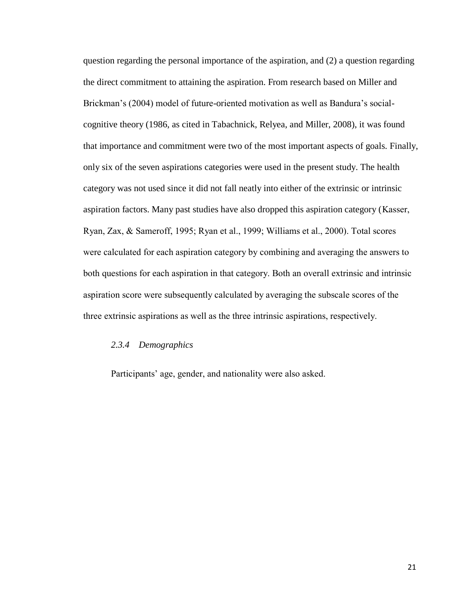question regarding the personal importance of the aspiration, and (2) a question regarding the direct commitment to attaining the aspiration. From research based on Miller and Brickman's (2004) model of future-oriented motivation as well as Bandura's socialcognitive theory (1986, as cited in Tabachnick, Relyea, and Miller, 2008), it was found that importance and commitment were two of the most important aspects of goals. Finally, only six of the seven aspirations categories were used in the present study. The health category was not used since it did not fall neatly into either of the extrinsic or intrinsic aspiration factors. Many past studies have also dropped this aspiration category (Kasser, Ryan, Zax, & Sameroff, 1995; Ryan et al., 1999; Williams et al., 2000). Total scores were calculated for each aspiration category by combining and averaging the answers to both questions for each aspiration in that category. Both an overall extrinsic and intrinsic aspiration score were subsequently calculated by averaging the subscale scores of the three extrinsic aspirations as well as the three intrinsic aspirations, respectively.

#### *2.3.4 Demographics*

Participants' age, gender, and nationality were also asked.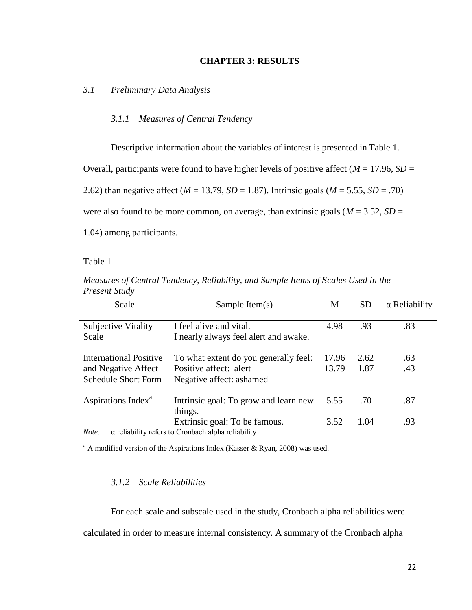#### **CHAPTER 3: RESULTS**

*3.1 Preliminary Data Analysis*

#### *3.1.1 Measures of Central Tendency*

Descriptive information about the variables of interest is presented in Table 1.

Overall, participants were found to have higher levels of positive affect ( $M = 17.96$ ,  $SD =$ 

2.62) than negative affect ( $M = 13.79$ ,  $SD = 1.87$ ). Intrinsic goals ( $M = 5.55$ ,  $SD = .70$ )

were also found to be more common, on average, than extrinsic goals ( $M = 3.52$ ,  $SD =$ 

1.04) among participants.

Table 1

| Scale                                                                       | Sample Item $(s)$                                                                           | M              | <b>SD</b>    | $\alpha$ Reliability |
|-----------------------------------------------------------------------------|---------------------------------------------------------------------------------------------|----------------|--------------|----------------------|
| <b>Subjective Vitality</b><br>Scale                                         | I feel alive and vital.<br>I nearly always feel alert and awake.                            | 4.98           | .93          | .83                  |
| International Positive<br>and Negative Affect<br><b>Schedule Short Form</b> | To what extent do you generally feel:<br>Positive affect: alert<br>Negative affect: ashamed | 17.96<br>13.79 | 2.62<br>1.87 | .63<br>.43           |
| Aspirations Index <sup>a</sup>                                              | Intrinsic goal: To grow and learn new<br>things.                                            | 5.55           | .70          | .87                  |
|                                                                             | Extrinsic goal: To be famous.                                                               | 3.52           | 1.04         | .93                  |

*Measures of Central Tendency, Reliability, and Sample Items of Scales Used in the Present Study*

*Note.* α reliability refers to Cronbach alpha reliability

 $^{\circ}$  A modified version of the Aspirations Index (Kasser & Ryan, 2008) was used.

#### *3.1.2 Scale Reliabilities*

For each scale and subscale used in the study, Cronbach alpha reliabilities were calculated in order to measure internal consistency. A summary of the Cronbach alpha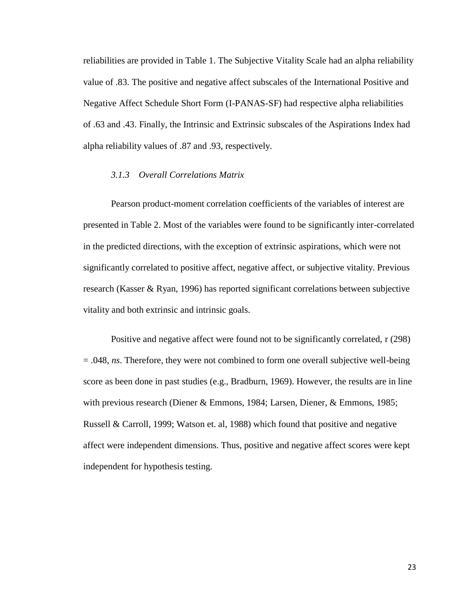reliabilities are provided in Table 1. The Subjective Vitality Scale had an alpha reliability value of .83. The positive and negative affect subscales of the International Positive and Negative Affect Schedule Short Form (I-PANAS-SF) had respective alpha reliabilities of .63 and .43. Finally, the Intrinsic and Extrinsic subscales of the Aspirations Index had alpha reliability values of .87 and .93, respectively.

#### *3.1.3 Overall Correlations Matrix*

Pearson product-moment correlation coefficients of the variables of interest are presented in Table 2. Most of the variables were found to be significantly inter-correlated in the predicted directions, with the exception of extrinsic aspirations, which were not significantly correlated to positive affect, negative affect, or subjective vitality. Previous research (Kasser & Ryan, 1996) has reported significant correlations between subjective vitality and both extrinsic and intrinsic goals.

Positive and negative affect were found not to be significantly correlated, r (298) = .048, *ns*. Therefore, they were not combined to form one overall subjective well-being score as been done in past studies (e.g., Bradburn, 1969). However, the results are in line with previous research (Diener & Emmons, 1984; Larsen, Diener, & Emmons, 1985; Russell & Carroll, 1999; Watson et. al, 1988) which found that positive and negative affect were independent dimensions. Thus, positive and negative affect scores were kept independent for hypothesis testing.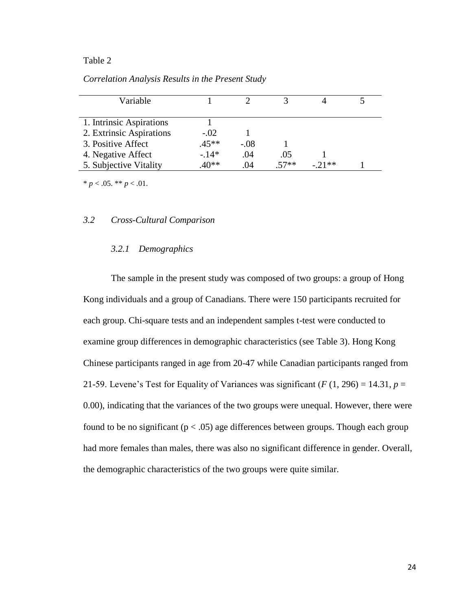| Variable                 |         |        |        |         |  |
|--------------------------|---------|--------|--------|---------|--|
|                          |         |        |        |         |  |
| 1. Intrinsic Aspirations |         |        |        |         |  |
| 2. Extrinsic Aspirations | $-.02$  |        |        |         |  |
| 3. Positive Affect       | $.45**$ | $-.08$ |        |         |  |
| 4. Negative Affect       | $-14*$  | .04    | .05    |         |  |
| 5. Subjective Vitality   | $40**$  | .04    | $57**$ | $-21**$ |  |

*Correlation Analysis Results in the Present Study*

 $* p < .05. ** p < .01.$ 

#### *3.2 Cross-Cultural Comparison*

#### *3.2.1 Demographics*

The sample in the present study was composed of two groups: a group of Hong Kong individuals and a group of Canadians. There were 150 participants recruited for each group. Chi-square tests and an independent samples t-test were conducted to examine group differences in demographic characteristics (see Table 3). Hong Kong Chinese participants ranged in age from 20-47 while Canadian participants ranged from 21-59. Levene's Test for Equality of Variances was significant  $(F(1, 296) = 14.31, p =$ 0.00), indicating that the variances of the two groups were unequal. However, there were found to be no significant ( $p < .05$ ) age differences between groups. Though each group had more females than males, there was also no significant difference in gender. Overall, the demographic characteristics of the two groups were quite similar.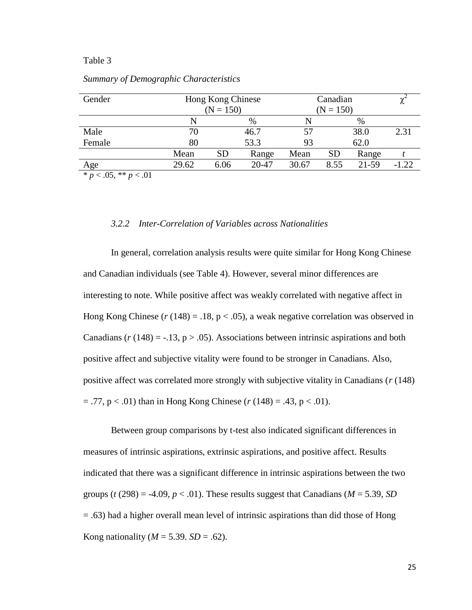| Gender | Hong Kong Chinese<br>$(N = 150)$ |           |       | Canadian<br>$(N = 150)$ |           |       | ∼       |
|--------|----------------------------------|-----------|-------|-------------------------|-----------|-------|---------|
|        |                                  |           | $\%$  |                         |           | $\%$  |         |
| Male   | 70                               |           | 46.7  | 57                      |           | 38.0  | 2.31    |
| Female | 80                               |           | 53.3  | 93                      |           | 62.0  |         |
|        | Mean                             | <b>SD</b> | Range | Mean                    | <b>SD</b> | Range |         |
| Age    | 29.62                            | 6.06      | 20-47 | 30.67                   | 8.55      | 21-59 | $-1.22$ |

*Summary of Demographic Characteristics*

 $\overline{\ast} p < .05$ ,  $\overline{\ast} \overline{\ast} p < .01$ 

#### *3.2.2 Inter-Correlation of Variables across Nationalities*

In general, correlation analysis results were quite similar for Hong Kong Chinese and Canadian individuals (see Table 4). However, several minor differences are interesting to note. While positive affect was weakly correlated with negative affect in Hong Kong Chinese  $(r (148) = .18, p < .05)$ , a weak negative correlation was observed in Canadians  $(r(148) = -13, p > 0.05)$ . Associations between intrinsic aspirations and both positive affect and subjective vitality were found to be stronger in Canadians. Also, positive affect was correlated more strongly with subjective vitality in Canadians (*r* (148)  $=$  .77,  $p < .01$ ) than in Hong Kong Chinese ( $r(148) = .43$ ,  $p < .01$ ).

Between group comparisons by t-test also indicated significant differences in measures of intrinsic aspirations, extrinsic aspirations, and positive affect. Results indicated that there was a significant difference in intrinsic aspirations between the two groups ( $t$  (298) = -4.09,  $p < .01$ ). These results suggest that Canadians ( $M = 5.39$ , SD = .63) had a higher overall mean level of intrinsic aspirations than did those of Hong Kong nationality ( $M = 5.39$ . *SD* = .62).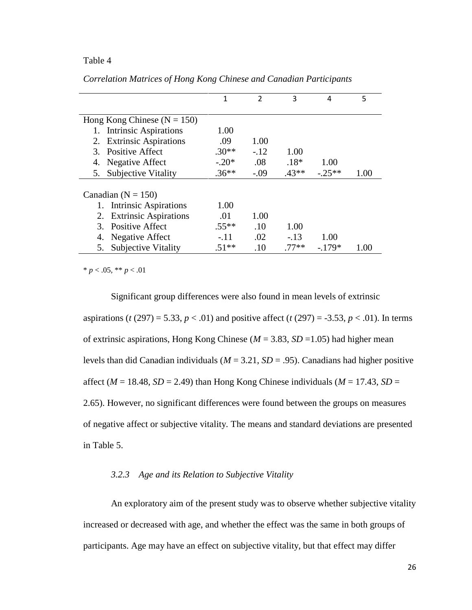|                                    | 1       | $\overline{2}$ | 3       | 4       | 5    |
|------------------------------------|---------|----------------|---------|---------|------|
|                                    |         |                |         |         |      |
| Hong Kong Chinese ( $N = 150$ )    |         |                |         |         |      |
| Intrinsic Aspirations              | 1.00    |                |         |         |      |
| <b>Extrinsic Aspirations</b><br>2. | .09     | 1.00           |         |         |      |
| 3. Positive Affect                 | $.30**$ | $-.12$         | 1.00    |         |      |
| Negative Affect<br>4.              | $-.20*$ | .08            | $.18*$  | 1.00    |      |
| <b>Subjective Vitality</b><br>5.   | $.36**$ | $-.09$         | $.43**$ | $-25**$ | 1.00 |
|                                    |         |                |         |         |      |
| Canadian ( $N = 150$ )             |         |                |         |         |      |
| 1. Intrinsic Aspirations           | 1.00    |                |         |         |      |
| <b>Extrinsic Aspirations</b><br>2. | .01     | 1.00           |         |         |      |
| <b>Positive Affect</b>             | $.55**$ | .10            | 1.00    |         |      |
| Negative Affect<br>4.              | $-.11$  | .02            | $-.13$  | 1.00    |      |
| <b>Subjective Vitality</b>         | $.51**$ | .10            | $.77**$ | $-179*$ | 1.00 |

*Correlation Matrices of Hong Kong Chinese and Canadian Participants*

 $* p < .05, ** p < .01$ 

Significant group differences were also found in mean levels of extrinsic aspirations (*t* (297) = 5.33, *p* < .01) and positive affect (*t* (297) = -3.53, *p* < .01). In terms of extrinsic aspirations, Hong Kong Chinese (*M* = 3.83, *SD* =1.05) had higher mean levels than did Canadian individuals (*M* = 3.21, *SD* = .95). Canadians had higher positive affect ( $M = 18.48$ ,  $SD = 2.49$ ) than Hong Kong Chinese individuals ( $M = 17.43$ ,  $SD =$ 2.65). However, no significant differences were found between the groups on measures of negative affect or subjective vitality. The means and standard deviations are presented in Table 5.

#### *3.2.3 Age and its Relation to Subjective Vitality*

An exploratory aim of the present study was to observe whether subjective vitality increased or decreased with age, and whether the effect was the same in both groups of participants. Age may have an effect on subjective vitality, but that effect may differ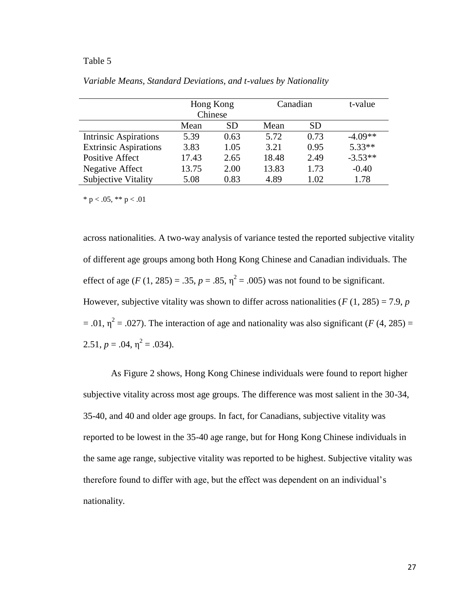|                              | Hong Kong |           | Canadian |           | t-value   |
|------------------------------|-----------|-----------|----------|-----------|-----------|
|                              | Chinese   |           |          |           |           |
|                              | Mean      | <b>SD</b> | Mean     | <b>SD</b> |           |
| <b>Intrinsic Aspirations</b> | 5.39      | 0.63      | 5.72     | 0.73      | $-4.09**$ |
| <b>Extrinsic Aspirations</b> | 3.83      | 1.05      | 3.21     | 0.95      | $5.33**$  |
| Positive Affect              | 17.43     | 2.65      | 18.48    | 2.49      | $-3.53**$ |
| Negative Affect              | 13.75     | 2.00      | 13.83    | 1.73      | $-0.40$   |
| Subjective Vitality          | 5.08      | 0.83      | 4.89     | 1.02      | 1.78      |

*Variable Means, Standard Deviations, and t-values by Nationality*

\* p < .05, \*\* p < .01

across nationalities. A two-way analysis of variance tested the reported subjective vitality of different age groups among both Hong Kong Chinese and Canadian individuals. The effect of age  $(F (1, 285) = .35, p = .85, \eta^2 = .005)$  was not found to be significant. However, subjective vitality was shown to differ across nationalities ( $F(1, 285) = 7.9$ ,  $p$  $= .01$ ,  $\eta^2 = .027$ ). The interaction of age and nationality was also significant (*F* (4, 285) = 2.51,  $p = .04$ ,  $\eta^2 = .034$ ).

As Figure 2 shows, Hong Kong Chinese individuals were found to report higher subjective vitality across most age groups. The difference was most salient in the 30-34, 35-40, and 40 and older age groups. In fact, for Canadians, subjective vitality was reported to be lowest in the 35-40 age range, but for Hong Kong Chinese individuals in the same age range, subjective vitality was reported to be highest. Subjective vitality was therefore found to differ with age, but the effect was dependent on an individual's nationality.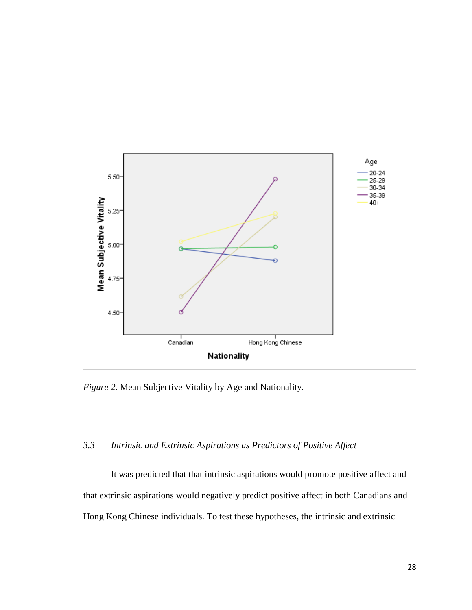

*Figure 2*. Mean Subjective Vitality by Age and Nationality.

# *3.3 Intrinsic and Extrinsic Aspirations as Predictors of Positive Affect*

It was predicted that that intrinsic aspirations would promote positive affect and that extrinsic aspirations would negatively predict positive affect in both Canadians and Hong Kong Chinese individuals. To test these hypotheses, the intrinsic and extrinsic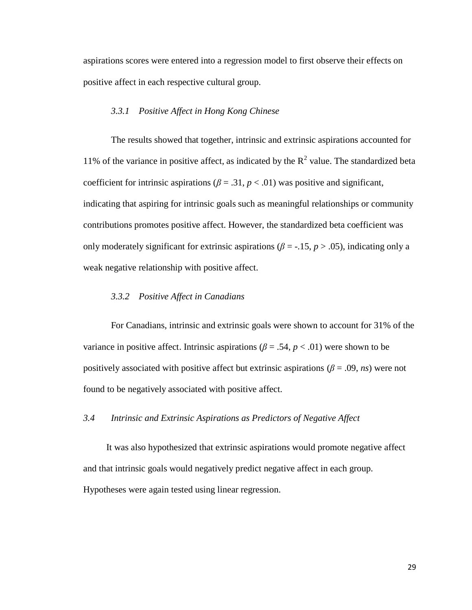aspirations scores were entered into a regression model to first observe their effects on positive affect in each respective cultural group.

### *3.3.1 Positive Affect in Hong Kong Chinese*

The results showed that together, intrinsic and extrinsic aspirations accounted for 11% of the variance in positive affect, as indicated by the  $R^2$  value. The standardized beta coefficient for intrinsic aspirations ( $\beta = .31$ ,  $p < .01$ ) was positive and significant, indicating that aspiring for intrinsic goals such as meaningful relationships or community contributions promotes positive affect. However, the standardized beta coefficient was only moderately significant for extrinsic aspirations ( $\beta$  = -.15, *p* > .05), indicating only a weak negative relationship with positive affect.

## *3.3.2 Positive Affect in Canadians*

For Canadians, intrinsic and extrinsic goals were shown to account for 31% of the variance in positive affect. Intrinsic aspirations ( $\beta = .54$ ,  $p < .01$ ) were shown to be positively associated with positive affect but extrinsic aspirations ( $\beta$  = .09, *ns*) were not found to be negatively associated with positive affect.

## *3.4 Intrinsic and Extrinsic Aspirations as Predictors of Negative Affect*

It was also hypothesized that extrinsic aspirations would promote negative affect and that intrinsic goals would negatively predict negative affect in each group. Hypotheses were again tested using linear regression.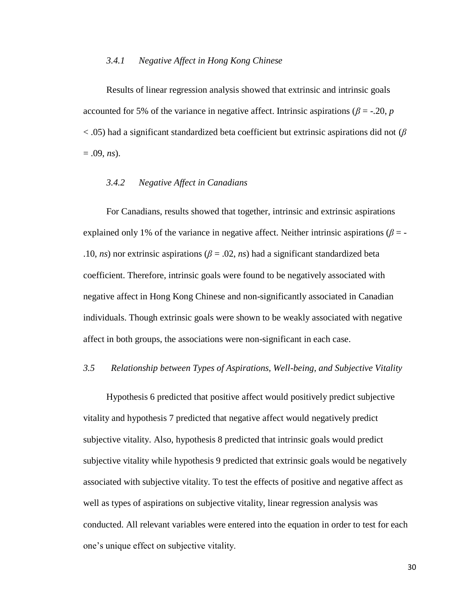### *3.4.1 Negative Affect in Hong Kong Chinese*

Results of linear regression analysis showed that extrinsic and intrinsic goals accounted for 5% of the variance in negative affect. Intrinsic aspirations ( $\beta$  = -.20, *p* < .05) had a significant standardized beta coefficient but extrinsic aspirations did not (*β*  $= .09, ns$ ).

# *3.4.2 Negative Affect in Canadians*

For Canadians, results showed that together, intrinsic and extrinsic aspirations explained only 1% of the variance in negative affect. Neither intrinsic aspirations ( $\beta$  = -.10, *ns*) nor extrinsic aspirations ( $\beta$  = .02, *ns*) had a significant standardized beta coefficient. Therefore, intrinsic goals were found to be negatively associated with negative affect in Hong Kong Chinese and non-significantly associated in Canadian individuals. Though extrinsic goals were shown to be weakly associated with negative affect in both groups, the associations were non-significant in each case.

## *3.5 Relationship between Types of Aspirations, Well-being, and Subjective Vitality*

Hypothesis 6 predicted that positive affect would positively predict subjective vitality and hypothesis 7 predicted that negative affect would negatively predict subjective vitality. Also, hypothesis 8 predicted that intrinsic goals would predict subjective vitality while hypothesis 9 predicted that extrinsic goals would be negatively associated with subjective vitality. To test the effects of positive and negative affect as well as types of aspirations on subjective vitality, linear regression analysis was conducted. All relevant variables were entered into the equation in order to test for each one's unique effect on subjective vitality.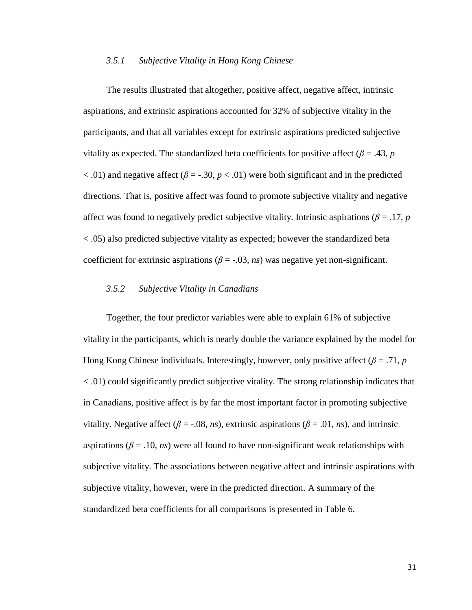## *3.5.1 Subjective Vitality in Hong Kong Chinese*

The results illustrated that altogether, positive affect, negative affect, intrinsic aspirations, and extrinsic aspirations accounted for 32% of subjective vitality in the participants, and that all variables except for extrinsic aspirations predicted subjective vitality as expected. The standardized beta coefficients for positive affect ( $\beta = .43$ , *p*  $<$ .01) and negative affect ( $\beta$  = -.30,  $p$  < .01) were both significant and in the predicted directions. That is, positive affect was found to promote subjective vitality and negative affect was found to negatively predict subjective vitality. Intrinsic aspirations ( $\beta = 0.17$ , *p* < .05) also predicted subjective vitality as expected; however the standardized beta coefficient for extrinsic aspirations  $(\beta = -0.03, ns)$  was negative yet non-significant.

## *3.5.2 Subjective Vitality in Canadians*

Together, the four predictor variables were able to explain 61% of subjective vitality in the participants, which is nearly double the variance explained by the model for Hong Kong Chinese individuals. Interestingly, however, only positive affect (*β* = .71, *p* < .01) could significantly predict subjective vitality. The strong relationship indicates that in Canadians, positive affect is by far the most important factor in promoting subjective vitality. Negative affect ( $\beta$  = -.08, *ns*), extrinsic aspirations ( $\beta$  = .01, *ns*), and intrinsic aspirations ( $\beta$  = .10, *ns*) were all found to have non-significant weak relationships with subjective vitality. The associations between negative affect and intrinsic aspirations with subjective vitality, however, were in the predicted direction. A summary of the standardized beta coefficients for all comparisons is presented in Table 6.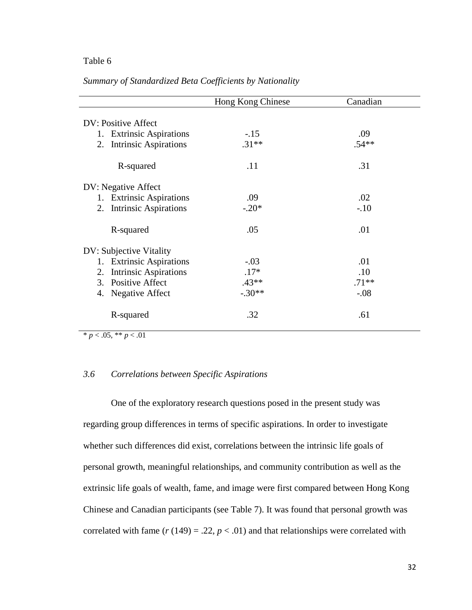## Table 6

|  | Summary of Standardized Beta Coefficients by Nationality |  |
|--|----------------------------------------------------------|--|
|  |                                                          |  |

|                                    | Hong Kong Chinese | Canadian |
|------------------------------------|-------------------|----------|
| DV: Positive Affect                |                   |          |
| 1. Extrinsic Aspirations           | $-.15$            | .09      |
| <b>Intrinsic Aspirations</b><br>2. | $.31**$           | $.54**$  |
| R-squared                          | .11               | .31      |
| DV: Negative Affect                |                   |          |
| 1. Extrinsic Aspirations           | .09               | .02      |
| <b>Intrinsic Aspirations</b><br>2. | $-.20*$           | $-.10$   |
| R-squared                          | .05               | .01      |
| DV: Subjective Vitality            |                   |          |
| <b>Extrinsic Aspirations</b><br>1. | $-.03$            | .01      |
| <b>Intrinsic Aspirations</b><br>2. | $.17*$            | .10      |
| 3. Positive Affect                 | $.43**$           | $.71**$  |
| Negative Affect<br>4.              | $-.30**$          | $-.08$   |
| R-squared                          | .32               | .61      |

 $* p < .05, ** p < .01$ 

## *3.6 Correlations between Specific Aspirations*

One of the exploratory research questions posed in the present study was regarding group differences in terms of specific aspirations. In order to investigate whether such differences did exist, correlations between the intrinsic life goals of personal growth, meaningful relationships, and community contribution as well as the extrinsic life goals of wealth, fame, and image were first compared between Hong Kong Chinese and Canadian participants (see Table 7). It was found that personal growth was correlated with fame  $(r (149) = .22, p < .01)$  and that relationships were correlated with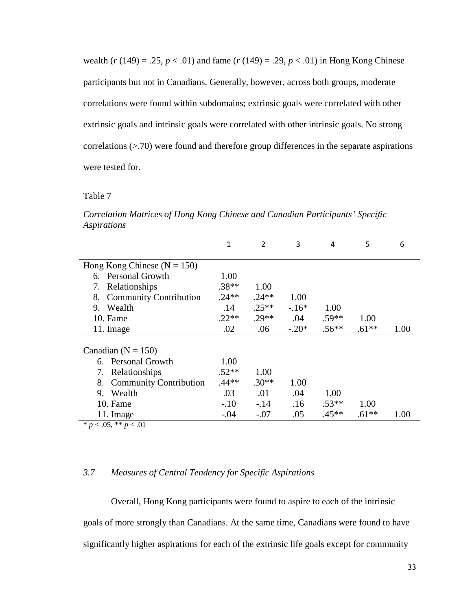wealth  $(r (149) = .25, p < .01)$  and fame  $(r (149) = .29, p < .01)$  in Hong Kong Chinese participants but not in Canadians. Generally, however, across both groups, moderate correlations were found within subdomains; extrinsic goals were correlated with other extrinsic goals and intrinsic goals were correlated with other intrinsic goals. No strong correlations (>.70) were found and therefore group differences in the separate aspirations were tested for.

# Table 7

|                                     | 1       | $\overline{2}$ | 3       | 4       | 5       | 6    |
|-------------------------------------|---------|----------------|---------|---------|---------|------|
|                                     |         |                |         |         |         |      |
| Hong Kong Chinese ( $N = 150$ )     |         |                |         |         |         |      |
| 6. Personal Growth                  | 1.00    |                |         |         |         |      |
| Relationships<br>7.                 | $.38**$ | 1.00           |         |         |         |      |
| <b>Community Contribution</b><br>8. | $.24**$ | $.24**$        | 1.00    |         |         |      |
| Wealth<br>9.                        | .14     | $.25**$        | $-16*$  | 1.00    |         |      |
| 10. Fame                            | $.22**$ | $.29**$        | .04     | $.59**$ | 1.00    |      |
| 11. Image                           | .02     | .06            | $-.20*$ | $.56**$ | $.61**$ | 1.00 |
|                                     |         |                |         |         |         |      |
| Canadian ( $N = 150$ )              |         |                |         |         |         |      |
| <b>Personal Growth</b><br>6.        | 1.00    |                |         |         |         |      |
| Relationships<br>7.                 | $.52**$ | 1.00           |         |         |         |      |
| <b>Community Contribution</b><br>8. | $.44**$ | $.30**$        | 1.00    |         |         |      |
| Wealth<br>9.                        | .03     | .01            | .04     | 1.00    |         |      |
| 10. Fame                            | $-.10$  | $-.14$         | .16     | $.53**$ | 1.00    |      |
| 11. Image                           | $-.04$  | $-.07$         | .05     | $.45**$ | $.61**$ | 1.00 |
| * $p < .05$ , ** $p < .01$          |         |                |         |         |         |      |

*Correlation Matrices of Hong Kong Chinese and Canadian Participants' Specific Aspirations*

# *3.7 Measures of Central Tendency for Specific Aspirations*

Overall, Hong Kong participants were found to aspire to each of the intrinsic goals of more strongly than Canadians. At the same time, Canadians were found to have significantly higher aspirations for each of the extrinsic life goals except for community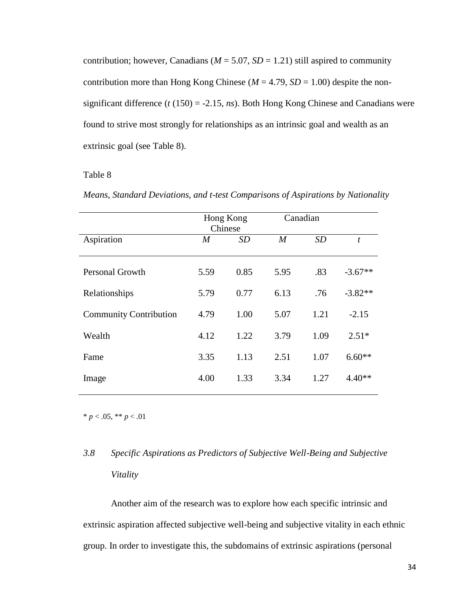contribution; however, Canadians ( $M = 5.07$ ,  $SD = 1.21$ ) still aspired to community contribution more than Hong Kong Chinese ( $M = 4.79$ ,  $SD = 1.00$ ) despite the nonsignificant difference (*t* (150) = -2.15, *ns*). Both Hong Kong Chinese and Canadians were found to strive most strongly for relationships as an intrinsic goal and wealth as an extrinsic goal (see Table 8).

# Table 8

|  | Means, Standard Deviations, and t-test Comparisons of Aspirations by Nationality |  |  |  |  |
|--|----------------------------------------------------------------------------------|--|--|--|--|
|  |                                                                                  |  |  |  |  |

|                               | Hong Kong<br>Chinese |           | Canadian |           |           |
|-------------------------------|----------------------|-----------|----------|-----------|-----------|
| Aspiration                    | M                    | <i>SD</i> | M        | <b>SD</b> | t         |
| <b>Personal Growth</b>        | 5.59                 | 0.85      | 5.95     | .83       | $-3.67**$ |
| Relationships                 | 5.79                 | 0.77      | 6.13     | .76       | $-3.82**$ |
| <b>Community Contribution</b> | 4.79                 | 1.00      | 5.07     | 1.21      | $-2.15$   |
| Wealth                        | 4.12                 | 1.22      | 3.79     | 1.09      | $2.51*$   |
| Fame                          | 3.35                 | 1.13      | 2.51     | 1.07      | $6.60**$  |
| Image                         | 4.00                 | 1.33      | 3.34     | 1.27      | $4.40**$  |

\* *p* < .05, \*\* *p* < .01

# *3.8 Specific Aspirations as Predictors of Subjective Well-Being and Subjective Vitality*

Another aim of the research was to explore how each specific intrinsic and extrinsic aspiration affected subjective well-being and subjective vitality in each ethnic group. In order to investigate this, the subdomains of extrinsic aspirations (personal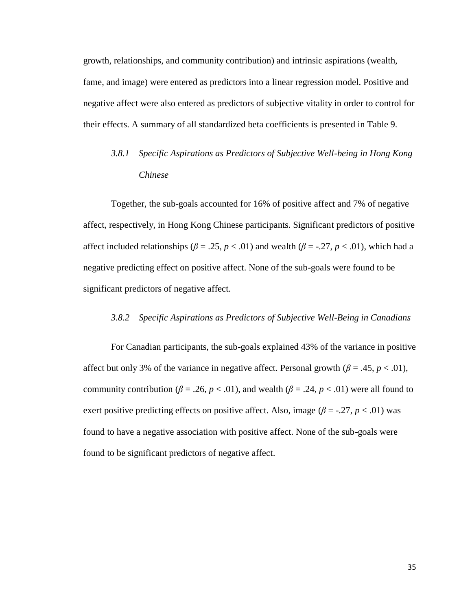growth, relationships, and community contribution) and intrinsic aspirations (wealth, fame, and image) were entered as predictors into a linear regression model. Positive and negative affect were also entered as predictors of subjective vitality in order to control for their effects. A summary of all standardized beta coefficients is presented in Table 9.

# *3.8.1 Specific Aspirations as Predictors of Subjective Well-being in Hong Kong Chinese*

Together, the sub-goals accounted for 16% of positive affect and 7% of negative affect, respectively, in Hong Kong Chinese participants. Significant predictors of positive affect included relationships ( $\beta = .25$ ,  $p < .01$ ) and wealth ( $\beta = .27$ ,  $p < .01$ ), which had a negative predicting effect on positive affect. None of the sub-goals were found to be significant predictors of negative affect.

## *3.8.2 Specific Aspirations as Predictors of Subjective Well-Being in Canadians*

For Canadian participants, the sub-goals explained 43% of the variance in positive affect but only 3% of the variance in negative affect. Personal growth  $(\beta = .45, p < .01)$ , community contribution ( $\beta = .26$ ,  $p < .01$ ), and wealth ( $\beta = .24$ ,  $p < .01$ ) were all found to exert positive predicting effects on positive affect. Also, image ( $\beta$  = -.27, *p* < .01) was found to have a negative association with positive affect. None of the sub-goals were found to be significant predictors of negative affect.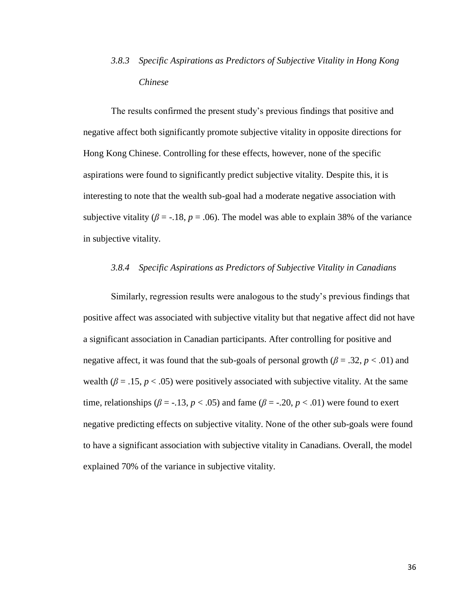# *3.8.3 Specific Aspirations as Predictors of Subjective Vitality in Hong Kong Chinese*

The results confirmed the present study's previous findings that positive and negative affect both significantly promote subjective vitality in opposite directions for Hong Kong Chinese. Controlling for these effects, however, none of the specific aspirations were found to significantly predict subjective vitality. Despite this, it is interesting to note that the wealth sub-goal had a moderate negative association with subjective vitality ( $\beta$  = -.18,  $p$  = .06). The model was able to explain 38% of the variance in subjective vitality.

# *3.8.4 Specific Aspirations as Predictors of Subjective Vitality in Canadians*

Similarly, regression results were analogous to the study's previous findings that positive affect was associated with subjective vitality but that negative affect did not have a significant association in Canadian participants. After controlling for positive and negative affect, it was found that the sub-goals of personal growth  $(\beta = .32, p < .01)$  and wealth ( $\beta = 0.15$ ,  $p < 0.05$ ) were positively associated with subjective vitality. At the same time, relationships ( $\beta$  = -.13,  $p$  < .05) and fame ( $\beta$  = -.20,  $p$  < .01) were found to exert negative predicting effects on subjective vitality. None of the other sub-goals were found to have a significant association with subjective vitality in Canadians. Overall, the model explained 70% of the variance in subjective vitality.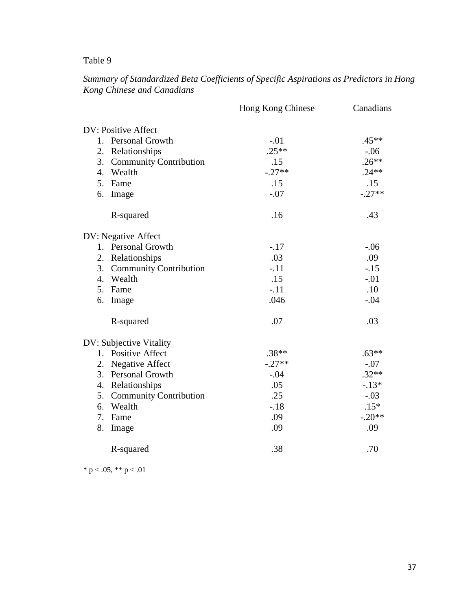# Table 9

|                                        | Hong Kong Chinese | Canadians |
|----------------------------------------|-------------------|-----------|
| DV: Positive Affect                    |                   |           |
| 1. Personal Growth                     | $-.01$            | $.45**$   |
|                                        | $.25**$           | $-.06$    |
| 2. Relationships                       | .15               | $.26**$   |
| 3. Community Contribution<br>4. Wealth | $-.27**$          | $.24***$  |
| 5. Fame                                |                   |           |
|                                        | .15               | .15       |
| 6. Image                               | $-.07$            | $-.27**$  |
| R-squared                              | .16               | .43       |
| DV: Negative Affect                    |                   |           |
| 1. Personal Growth                     | $-.17$            | $-.06$    |
| 2. Relationships                       | .03               | .09       |
| 3. Community Contribution              | $-.11$            | $-.15$    |
| 4. Wealth                              | .15               | $-.01$    |
| 5. Fame                                | $-.11$            | .10       |
| 6. Image                               | .046              | $-.04$    |
| R-squared                              | .07               | .03       |
| DV: Subjective Vitality                |                   |           |
| 1. Positive Affect                     | $.38**$           | $.63**$   |
| 2. Negative Affect                     | $-.27**$          | $-.07$    |
| 3. Personal Growth                     | $-.04$            | $.32**$   |
| 4. Relationships                       | .05               | $-.13*$   |
| 5. Community Contribution              | .25               | $-.03$    |
| 6. Wealth                              | $-.18$            | $.15*$    |
| 7. Fame                                | .09               | $-.20**$  |
| 8. Image                               | .09               | .09       |
| R-squared                              | .38               | .70       |

*Summary of Standardized Beta Coefficients of Specific Aspirations as Predictors in Hong Kong Chinese and Canadians*

\* p < .05, \*\* p < .01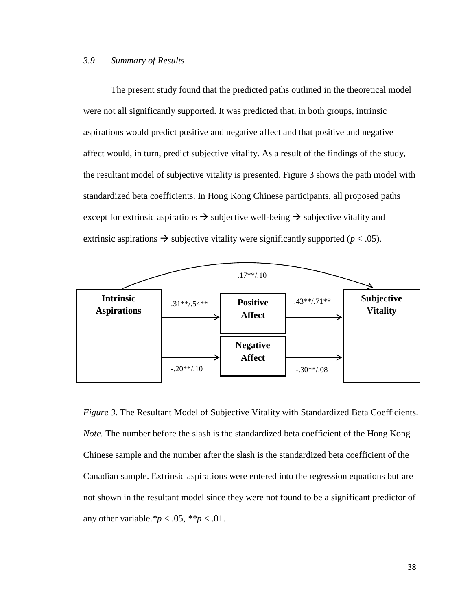# *3.9 Summary of Results*

The present study found that the predicted paths outlined in the theoretical model were not all significantly supported. It was predicted that, in both groups, intrinsic aspirations would predict positive and negative affect and that positive and negative affect would, in turn, predict subjective vitality. As a result of the findings of the study, the resultant model of subjective vitality is presented. Figure 3 shows the path model with standardized beta coefficients. In Hong Kong Chinese participants, all proposed paths except for extrinsic aspirations  $\rightarrow$  subjective well-being  $\rightarrow$  subjective vitality and extrinsic aspirations  $\rightarrow$  subjective vitality were significantly supported ( $p < .05$ ).



*Figure 3.* The Resultant Model of Subjective Vitality with Standardized Beta Coefficients. *Note.* The number before the slash is the standardized beta coefficient of the Hong Kong Chinese sample and the number after the slash is the standardized beta coefficient of the Canadian sample. Extrinsic aspirations were entered into the regression equations but are not shown in the resultant model since they were not found to be a significant predictor of any other variable.  ${}^*p < .05$ ,  ${}^*{}^*p < .01$ .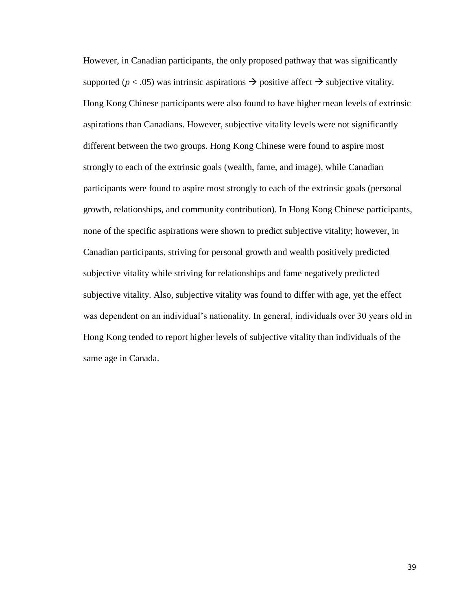However, in Canadian participants, the only proposed pathway that was significantly supported ( $p < .05$ ) was intrinsic aspirations  $\rightarrow$  positive affect  $\rightarrow$  subjective vitality. Hong Kong Chinese participants were also found to have higher mean levels of extrinsic aspirations than Canadians. However, subjective vitality levels were not significantly different between the two groups. Hong Kong Chinese were found to aspire most strongly to each of the extrinsic goals (wealth, fame, and image), while Canadian participants were found to aspire most strongly to each of the extrinsic goals (personal growth, relationships, and community contribution). In Hong Kong Chinese participants, none of the specific aspirations were shown to predict subjective vitality; however, in Canadian participants, striving for personal growth and wealth positively predicted subjective vitality while striving for relationships and fame negatively predicted subjective vitality. Also, subjective vitality was found to differ with age, yet the effect was dependent on an individual's nationality. In general, individuals over 30 years old in Hong Kong tended to report higher levels of subjective vitality than individuals of the same age in Canada.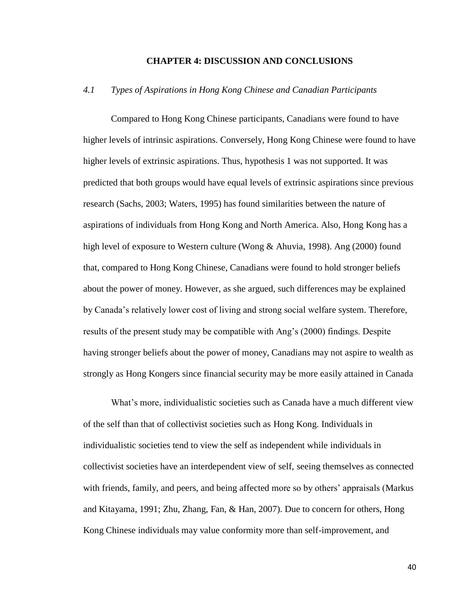## **CHAPTER 4: DISCUSSION AND CONCLUSIONS**

## *4.1 Types of Aspirations in Hong Kong Chinese and Canadian Participants*

Compared to Hong Kong Chinese participants, Canadians were found to have higher levels of intrinsic aspirations. Conversely, Hong Kong Chinese were found to have higher levels of extrinsic aspirations. Thus, hypothesis 1 was not supported. It was predicted that both groups would have equal levels of extrinsic aspirations since previous research (Sachs, 2003; Waters, 1995) has found similarities between the nature of aspirations of individuals from Hong Kong and North America. Also, Hong Kong has a high level of exposure to Western culture (Wong & Ahuvia, 1998). Ang (2000) found that, compared to Hong Kong Chinese, Canadians were found to hold stronger beliefs about the power of money. However, as she argued, such differences may be explained by Canada's relatively lower cost of living and strong social welfare system. Therefore, results of the present study may be compatible with Ang's (2000) findings. Despite having stronger beliefs about the power of money, Canadians may not aspire to wealth as strongly as Hong Kongers since financial security may be more easily attained in Canada

What's more, individualistic societies such as Canada have a much different view of the self than that of collectivist societies such as Hong Kong. Individuals in individualistic societies tend to view the self as independent while individuals in collectivist societies have an interdependent view of self, seeing themselves as connected with friends, family, and peers, and being affected more so by others' appraisals (Markus and Kitayama, 1991; Zhu, Zhang, Fan, & Han, 2007). Due to concern for others, Hong Kong Chinese individuals may value conformity more than self-improvement, and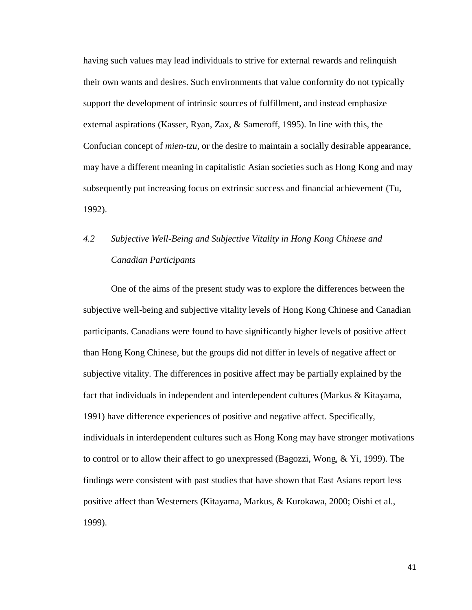having such values may lead individuals to strive for external rewards and relinquish their own wants and desires. Such environments that value conformity do not typically support the development of intrinsic sources of fulfillment, and instead emphasize external aspirations (Kasser, Ryan, Zax, & Sameroff, 1995). In line with this, the Confucian concept of *mien-tzu*, or the desire to maintain a socially desirable appearance, may have a different meaning in capitalistic Asian societies such as Hong Kong and may subsequently put increasing focus on extrinsic success and financial achievement (Tu, 1992).

# *4.2 Subjective Well-Being and Subjective Vitality in Hong Kong Chinese and Canadian Participants*

One of the aims of the present study was to explore the differences between the subjective well-being and subjective vitality levels of Hong Kong Chinese and Canadian participants. Canadians were found to have significantly higher levels of positive affect than Hong Kong Chinese, but the groups did not differ in levels of negative affect or subjective vitality. The differences in positive affect may be partially explained by the fact that individuals in independent and interdependent cultures (Markus & Kitayama, 1991) have difference experiences of positive and negative affect. Specifically, individuals in interdependent cultures such as Hong Kong may have stronger motivations to control or to allow their affect to go unexpressed (Bagozzi, Wong, & Yi, 1999). The findings were consistent with past studies that have shown that East Asians report less positive affect than Westerners (Kitayama, Markus, & Kurokawa, 2000; Oishi et al., 1999).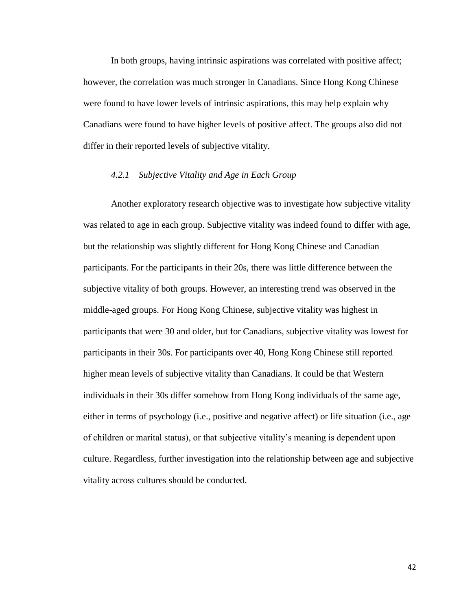In both groups, having intrinsic aspirations was correlated with positive affect; however, the correlation was much stronger in Canadians. Since Hong Kong Chinese were found to have lower levels of intrinsic aspirations, this may help explain why Canadians were found to have higher levels of positive affect. The groups also did not differ in their reported levels of subjective vitality.

## *4.2.1 Subjective Vitality and Age in Each Group*

Another exploratory research objective was to investigate how subjective vitality was related to age in each group. Subjective vitality was indeed found to differ with age, but the relationship was slightly different for Hong Kong Chinese and Canadian participants. For the participants in their 20s, there was little difference between the subjective vitality of both groups. However, an interesting trend was observed in the middle-aged groups. For Hong Kong Chinese, subjective vitality was highest in participants that were 30 and older, but for Canadians, subjective vitality was lowest for participants in their 30s. For participants over 40, Hong Kong Chinese still reported higher mean levels of subjective vitality than Canadians. It could be that Western individuals in their 30s differ somehow from Hong Kong individuals of the same age, either in terms of psychology (i.e., positive and negative affect) or life situation (i.e., age of children or marital status), or that subjective vitality's meaning is dependent upon culture. Regardless, further investigation into the relationship between age and subjective vitality across cultures should be conducted.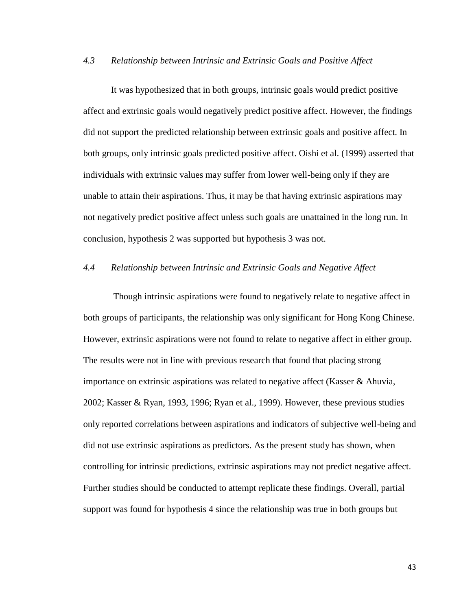# *4.3 Relationship between Intrinsic and Extrinsic Goals and Positive Affect*

It was hypothesized that in both groups, intrinsic goals would predict positive affect and extrinsic goals would negatively predict positive affect. However, the findings did not support the predicted relationship between extrinsic goals and positive affect. In both groups, only intrinsic goals predicted positive affect. Oishi et al. (1999) asserted that individuals with extrinsic values may suffer from lower well-being only if they are unable to attain their aspirations. Thus, it may be that having extrinsic aspirations may not negatively predict positive affect unless such goals are unattained in the long run. In conclusion, hypothesis 2 was supported but hypothesis 3 was not.

# *4.4 Relationship between Intrinsic and Extrinsic Goals and Negative Affect*

Though intrinsic aspirations were found to negatively relate to negative affect in both groups of participants, the relationship was only significant for Hong Kong Chinese. However, extrinsic aspirations were not found to relate to negative affect in either group. The results were not in line with previous research that found that placing strong importance on extrinsic aspirations was related to negative affect (Kasser & Ahuvia, 2002; Kasser & Ryan, 1993, 1996; Ryan et al., 1999). However, these previous studies only reported correlations between aspirations and indicators of subjective well-being and did not use extrinsic aspirations as predictors. As the present study has shown, when controlling for intrinsic predictions, extrinsic aspirations may not predict negative affect. Further studies should be conducted to attempt replicate these findings. Overall, partial support was found for hypothesis 4 since the relationship was true in both groups but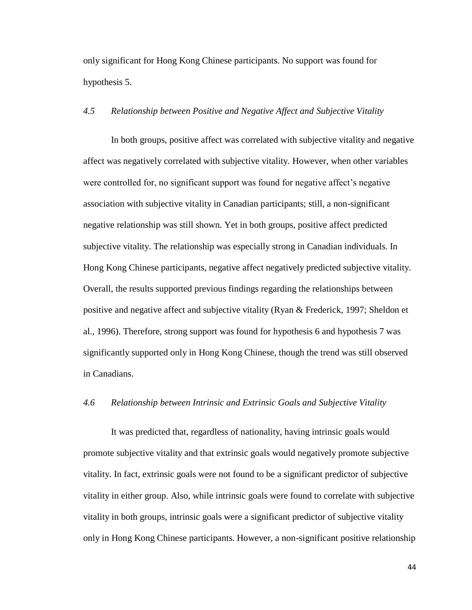only significant for Hong Kong Chinese participants. No support was found for hypothesis 5.

# *4.5 Relationship between Positive and Negative Affect and Subjective Vitality*

In both groups, positive affect was correlated with subjective vitality and negative affect was negatively correlated with subjective vitality. However, when other variables were controlled for, no significant support was found for negative affect's negative association with subjective vitality in Canadian participants; still, a non-significant negative relationship was still shown. Yet in both groups, positive affect predicted subjective vitality. The relationship was especially strong in Canadian individuals. In Hong Kong Chinese participants, negative affect negatively predicted subjective vitality. Overall, the results supported previous findings regarding the relationships between positive and negative affect and subjective vitality (Ryan & Frederick, 1997; Sheldon et al., 1996). Therefore, strong support was found for hypothesis 6 and hypothesis 7 was significantly supported only in Hong Kong Chinese, though the trend was still observed in Canadians.

## *4.6 Relationship between Intrinsic and Extrinsic Goals and Subjective Vitality*

It was predicted that, regardless of nationality, having intrinsic goals would promote subjective vitality and that extrinsic goals would negatively promote subjective vitality. In fact, extrinsic goals were not found to be a significant predictor of subjective vitality in either group. Also, while intrinsic goals were found to correlate with subjective vitality in both groups, intrinsic goals were a significant predictor of subjective vitality only in Hong Kong Chinese participants. However, a non-significant positive relationship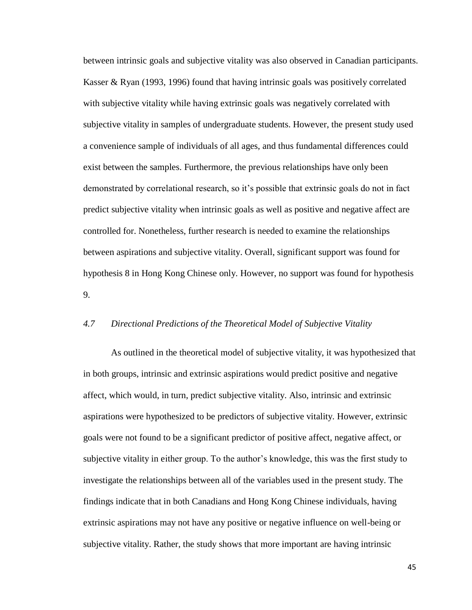between intrinsic goals and subjective vitality was also observed in Canadian participants. Kasser & Ryan (1993, 1996) found that having intrinsic goals was positively correlated with subjective vitality while having extrinsic goals was negatively correlated with subjective vitality in samples of undergraduate students. However, the present study used a convenience sample of individuals of all ages, and thus fundamental differences could exist between the samples. Furthermore, the previous relationships have only been demonstrated by correlational research, so it's possible that extrinsic goals do not in fact predict subjective vitality when intrinsic goals as well as positive and negative affect are controlled for. Nonetheless, further research is needed to examine the relationships between aspirations and subjective vitality. Overall, significant support was found for hypothesis 8 in Hong Kong Chinese only. However, no support was found for hypothesis 9.

## *4.7 Directional Predictions of the Theoretical Model of Subjective Vitality*

As outlined in the theoretical model of subjective vitality, it was hypothesized that in both groups, intrinsic and extrinsic aspirations would predict positive and negative affect, which would, in turn, predict subjective vitality. Also, intrinsic and extrinsic aspirations were hypothesized to be predictors of subjective vitality. However, extrinsic goals were not found to be a significant predictor of positive affect, negative affect, or subjective vitality in either group. To the author's knowledge, this was the first study to investigate the relationships between all of the variables used in the present study. The findings indicate that in both Canadians and Hong Kong Chinese individuals, having extrinsic aspirations may not have any positive or negative influence on well-being or subjective vitality. Rather, the study shows that more important are having intrinsic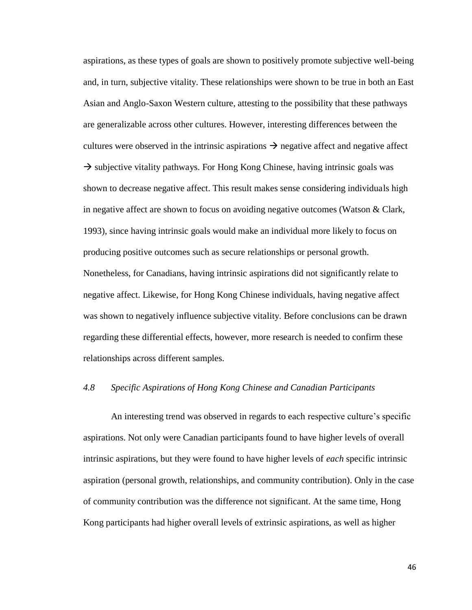aspirations, as these types of goals are shown to positively promote subjective well-being and, in turn, subjective vitality. These relationships were shown to be true in both an East Asian and Anglo-Saxon Western culture, attesting to the possibility that these pathways are generalizable across other cultures. However, interesting differences between the cultures were observed in the intrinsic aspirations  $\rightarrow$  negative affect and negative affect  $\rightarrow$  subjective vitality pathways. For Hong Kong Chinese, having intrinsic goals was shown to decrease negative affect. This result makes sense considering individuals high in negative affect are shown to focus on avoiding negative outcomes (Watson & Clark, 1993), since having intrinsic goals would make an individual more likely to focus on producing positive outcomes such as secure relationships or personal growth. Nonetheless, for Canadians, having intrinsic aspirations did not significantly relate to negative affect. Likewise, for Hong Kong Chinese individuals, having negative affect was shown to negatively influence subjective vitality. Before conclusions can be drawn regarding these differential effects, however, more research is needed to confirm these relationships across different samples.

## *4.8 Specific Aspirations of Hong Kong Chinese and Canadian Participants*

An interesting trend was observed in regards to each respective culture's specific aspirations. Not only were Canadian participants found to have higher levels of overall intrinsic aspirations, but they were found to have higher levels of *each* specific intrinsic aspiration (personal growth, relationships, and community contribution). Only in the case of community contribution was the difference not significant. At the same time, Hong Kong participants had higher overall levels of extrinsic aspirations, as well as higher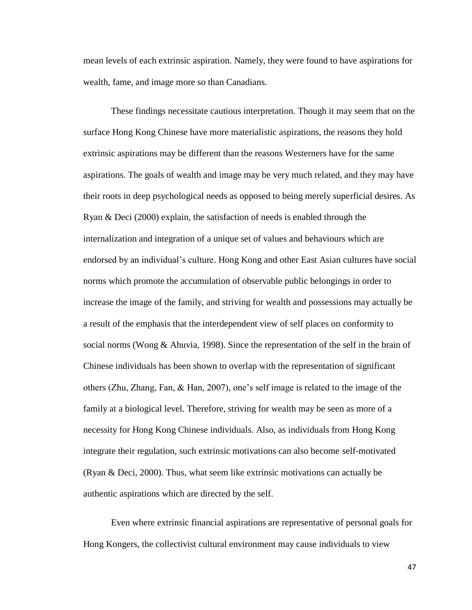mean levels of each extrinsic aspiration. Namely, they were found to have aspirations for wealth, fame, and image more so than Canadians.

These findings necessitate cautious interpretation. Though it may seem that on the surface Hong Kong Chinese have more materialistic aspirations, the reasons they hold extrinsic aspirations may be different than the reasons Westerners have for the same aspirations. The goals of wealth and image may be very much related, and they may have their roots in deep psychological needs as opposed to being merely superficial desires. As Ryan & Deci (2000) explain, the satisfaction of needs is enabled through the internalization and integration of a unique set of values and behaviours which are endorsed by an individual's culture. Hong Kong and other East Asian cultures have social norms which promote the accumulation of observable public belongings in order to increase the image of the family, and striving for wealth and possessions may actually be a result of the emphasis that the interdependent view of self places on conformity to social norms (Wong & Ahuvia, 1998). Since the representation of the self in the brain of Chinese individuals has been shown to overlap with the representation of significant others (Zhu, Zhang, Fan, & Han, 2007), one's self image is related to the image of the family at a biological level. Therefore, striving for wealth may be seen as more of a necessity for Hong Kong Chinese individuals. Also, as individuals from Hong Kong integrate their regulation, such extrinsic motivations can also become self-motivated (Ryan & Deci, 2000). Thus, what seem like extrinsic motivations can actually be authentic aspirations which are directed by the self.

Even where extrinsic financial aspirations are representative of personal goals for Hong Kongers, the collectivist cultural environment may cause individuals to view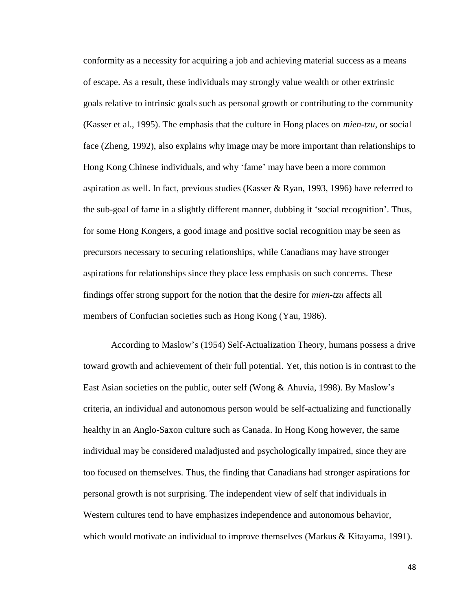conformity as a necessity for acquiring a job and achieving material success as a means of escape. As a result, these individuals may strongly value wealth or other extrinsic goals relative to intrinsic goals such as personal growth or contributing to the community (Kasser et al., 1995). The emphasis that the culture in Hong places on *mien-tzu*, or social face (Zheng, 1992), also explains why image may be more important than relationships to Hong Kong Chinese individuals, and why 'fame' may have been a more common aspiration as well. In fact, previous studies (Kasser & Ryan, 1993, 1996) have referred to the sub-goal of fame in a slightly different manner, dubbing it ‗social recognition'. Thus, for some Hong Kongers, a good image and positive social recognition may be seen as precursors necessary to securing relationships, while Canadians may have stronger aspirations for relationships since they place less emphasis on such concerns. These findings offer strong support for the notion that the desire for *mien-tzu* affects all members of Confucian societies such as Hong Kong (Yau, 1986).

According to Maslow's (1954) Self-Actualization Theory, humans possess a drive toward growth and achievement of their full potential. Yet, this notion is in contrast to the East Asian societies on the public, outer self (Wong & Ahuvia, 1998). By Maslow's criteria, an individual and autonomous person would be self-actualizing and functionally healthy in an Anglo-Saxon culture such as Canada. In Hong Kong however, the same individual may be considered maladjusted and psychologically impaired, since they are too focused on themselves. Thus, the finding that Canadians had stronger aspirations for personal growth is not surprising. The independent view of self that individuals in Western cultures tend to have emphasizes independence and autonomous behavior, which would motivate an individual to improve themselves (Markus & Kitayama, 1991).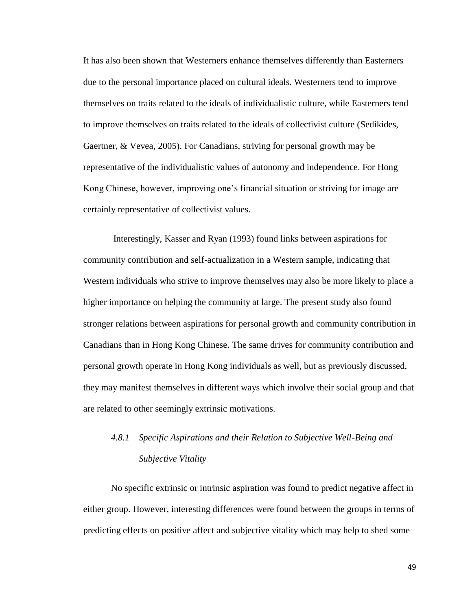It has also been shown that Westerners enhance themselves differently than Easterners due to the personal importance placed on cultural ideals. Westerners tend to improve themselves on traits related to the ideals of individualistic culture, while Easterners tend to improve themselves on traits related to the ideals of collectivist culture (Sedikides, Gaertner, & Vevea, 2005). For Canadians, striving for personal growth may be representative of the individualistic values of autonomy and independence. For Hong Kong Chinese, however, improving one's financial situation or striving for image are certainly representative of collectivist values.

Interestingly, Kasser and Ryan (1993) found links between aspirations for community contribution and self-actualization in a Western sample, indicating that Western individuals who strive to improve themselves may also be more likely to place a higher importance on helping the community at large. The present study also found stronger relations between aspirations for personal growth and community contribution in Canadians than in Hong Kong Chinese. The same drives for community contribution and personal growth operate in Hong Kong individuals as well, but as previously discussed, they may manifest themselves in different ways which involve their social group and that are related to other seemingly extrinsic motivations.

# *4.8.1 Specific Aspirations and their Relation to Subjective Well-Being and Subjective Vitality*

No specific extrinsic or intrinsic aspiration was found to predict negative affect in either group. However, interesting differences were found between the groups in terms of predicting effects on positive affect and subjective vitality which may help to shed some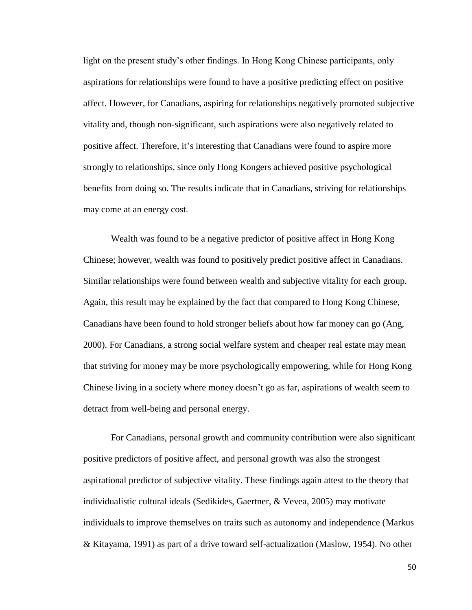light on the present study's other findings. In Hong Kong Chinese participants, only aspirations for relationships were found to have a positive predicting effect on positive affect. However, for Canadians, aspiring for relationships negatively promoted subjective vitality and, though non-significant, such aspirations were also negatively related to positive affect. Therefore, it's interesting that Canadians were found to aspire more strongly to relationships, since only Hong Kongers achieved positive psychological benefits from doing so. The results indicate that in Canadians, striving for relationships may come at an energy cost.

Wealth was found to be a negative predictor of positive affect in Hong Kong Chinese; however, wealth was found to positively predict positive affect in Canadians. Similar relationships were found between wealth and subjective vitality for each group. Again, this result may be explained by the fact that compared to Hong Kong Chinese, Canadians have been found to hold stronger beliefs about how far money can go (Ang, 2000). For Canadians, a strong social welfare system and cheaper real estate may mean that striving for money may be more psychologically empowering, while for Hong Kong Chinese living in a society where money doesn't go as far, aspirations of wealth seem to detract from well-being and personal energy.

For Canadians, personal growth and community contribution were also significant positive predictors of positive affect, and personal growth was also the strongest aspirational predictor of subjective vitality. These findings again attest to the theory that individualistic cultural ideals (Sedikides, Gaertner, & Vevea, 2005) may motivate individuals to improve themselves on traits such as autonomy and independence (Markus & Kitayama, 1991) as part of a drive toward self-actualization (Maslow, 1954). No other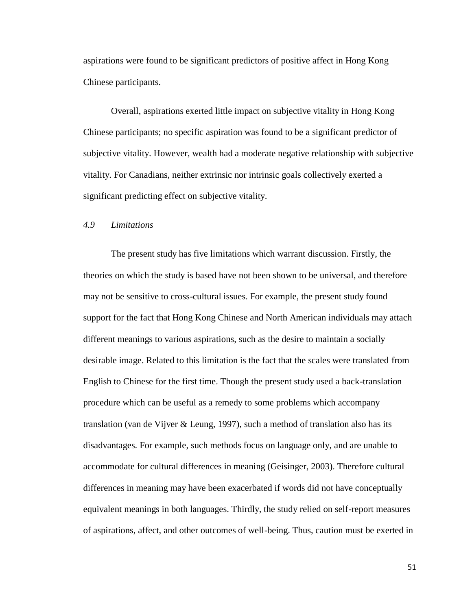aspirations were found to be significant predictors of positive affect in Hong Kong Chinese participants.

Overall, aspirations exerted little impact on subjective vitality in Hong Kong Chinese participants; no specific aspiration was found to be a significant predictor of subjective vitality. However, wealth had a moderate negative relationship with subjective vitality. For Canadians, neither extrinsic nor intrinsic goals collectively exerted a significant predicting effect on subjective vitality.

# *4.9 Limitations*

The present study has five limitations which warrant discussion. Firstly, the theories on which the study is based have not been shown to be universal, and therefore may not be sensitive to cross-cultural issues. For example, the present study found support for the fact that Hong Kong Chinese and North American individuals may attach different meanings to various aspirations, such as the desire to maintain a socially desirable image. Related to this limitation is the fact that the scales were translated from English to Chinese for the first time. Though the present study used a back-translation procedure which can be useful as a remedy to some problems which accompany translation (van de Vijver & Leung, 1997), such a method of translation also has its disadvantages. For example, such methods focus on language only, and are unable to accommodate for cultural differences in meaning (Geisinger, 2003). Therefore cultural differences in meaning may have been exacerbated if words did not have conceptually equivalent meanings in both languages. Thirdly, the study relied on self-report measures of aspirations, affect, and other outcomes of well-being. Thus, caution must be exerted in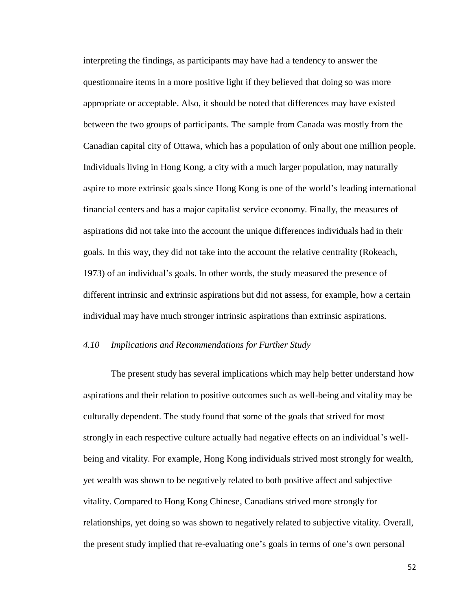interpreting the findings, as participants may have had a tendency to answer the questionnaire items in a more positive light if they believed that doing so was more appropriate or acceptable. Also, it should be noted that differences may have existed between the two groups of participants. The sample from Canada was mostly from the Canadian capital city of Ottawa, which has a population of only about one million people. Individuals living in Hong Kong, a city with a much larger population, may naturally aspire to more extrinsic goals since Hong Kong is one of the world's leading international financial centers and has a major capitalist service economy. Finally, the measures of aspirations did not take into the account the unique differences individuals had in their goals. In this way, they did not take into the account the relative centrality (Rokeach, 1973) of an individual's goals. In other words, the study measured the presence of different intrinsic and extrinsic aspirations but did not assess, for example, how a certain individual may have much stronger intrinsic aspirations than extrinsic aspirations.

## *4.10 Implications and Recommendations for Further Study*

The present study has several implications which may help better understand how aspirations and their relation to positive outcomes such as well-being and vitality may be culturally dependent. The study found that some of the goals that strived for most strongly in each respective culture actually had negative effects on an individual's wellbeing and vitality. For example, Hong Kong individuals strived most strongly for wealth, yet wealth was shown to be negatively related to both positive affect and subjective vitality. Compared to Hong Kong Chinese, Canadians strived more strongly for relationships, yet doing so was shown to negatively related to subjective vitality. Overall, the present study implied that re-evaluating one's goals in terms of one's own personal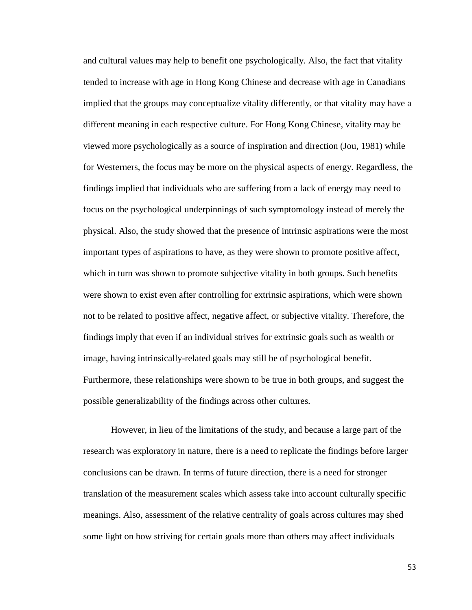and cultural values may help to benefit one psychologically. Also, the fact that vitality tended to increase with age in Hong Kong Chinese and decrease with age in Canadians implied that the groups may conceptualize vitality differently, or that vitality may have a different meaning in each respective culture. For Hong Kong Chinese, vitality may be viewed more psychologically as a source of inspiration and direction (Jou, 1981) while for Westerners, the focus may be more on the physical aspects of energy. Regardless, the findings implied that individuals who are suffering from a lack of energy may need to focus on the psychological underpinnings of such symptomology instead of merely the physical. Also, the study showed that the presence of intrinsic aspirations were the most important types of aspirations to have, as they were shown to promote positive affect, which in turn was shown to promote subjective vitality in both groups. Such benefits were shown to exist even after controlling for extrinsic aspirations, which were shown not to be related to positive affect, negative affect, or subjective vitality. Therefore, the findings imply that even if an individual strives for extrinsic goals such as wealth or image, having intrinsically-related goals may still be of psychological benefit. Furthermore, these relationships were shown to be true in both groups, and suggest the possible generalizability of the findings across other cultures.

However, in lieu of the limitations of the study, and because a large part of the research was exploratory in nature, there is a need to replicate the findings before larger conclusions can be drawn. In terms of future direction, there is a need for stronger translation of the measurement scales which assess take into account culturally specific meanings. Also, assessment of the relative centrality of goals across cultures may shed some light on how striving for certain goals more than others may affect individuals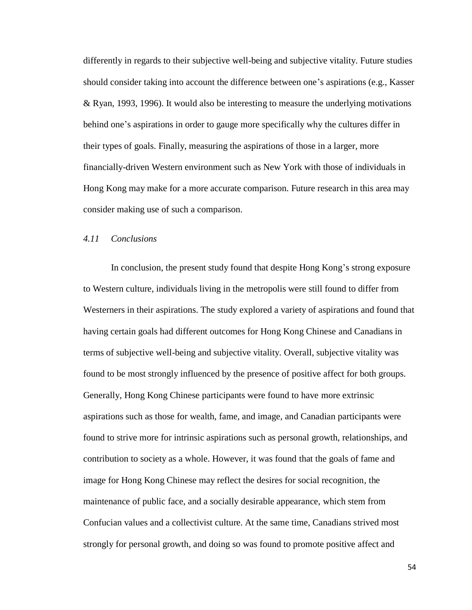differently in regards to their subjective well-being and subjective vitality. Future studies should consider taking into account the difference between one's aspirations (e.g., Kasser & Ryan, 1993, 1996). It would also be interesting to measure the underlying motivations behind one's aspirations in order to gauge more specifically why the cultures differ in their types of goals. Finally, measuring the aspirations of those in a larger, more financially-driven Western environment such as New York with those of individuals in Hong Kong may make for a more accurate comparison. Future research in this area may consider making use of such a comparison.

### *4.11 Conclusions*

In conclusion, the present study found that despite Hong Kong's strong exposure to Western culture, individuals living in the metropolis were still found to differ from Westerners in their aspirations. The study explored a variety of aspirations and found that having certain goals had different outcomes for Hong Kong Chinese and Canadians in terms of subjective well-being and subjective vitality. Overall, subjective vitality was found to be most strongly influenced by the presence of positive affect for both groups. Generally, Hong Kong Chinese participants were found to have more extrinsic aspirations such as those for wealth, fame, and image, and Canadian participants were found to strive more for intrinsic aspirations such as personal growth, relationships, and contribution to society as a whole. However, it was found that the goals of fame and image for Hong Kong Chinese may reflect the desires for social recognition, the maintenance of public face, and a socially desirable appearance, which stem from Confucian values and a collectivist culture. At the same time, Canadians strived most strongly for personal growth, and doing so was found to promote positive affect and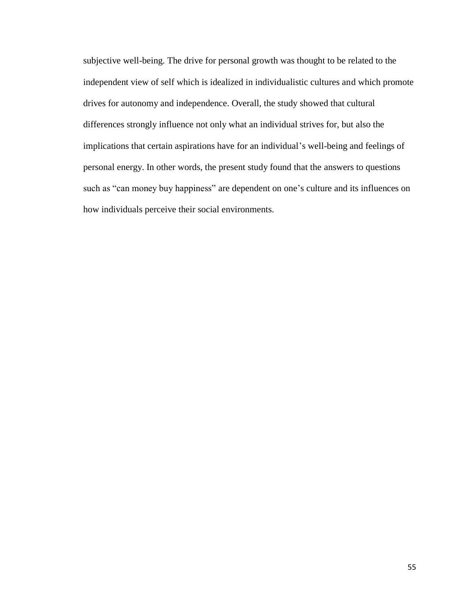subjective well-being. The drive for personal growth was thought to be related to the independent view of self which is idealized in individualistic cultures and which promote drives for autonomy and independence. Overall, the study showed that cultural differences strongly influence not only what an individual strives for, but also the implications that certain aspirations have for an individual's well-being and feelings of personal energy. In other words, the present study found that the answers to questions such as "can money buy happiness" are dependent on one's culture and its influences on how individuals perceive their social environments.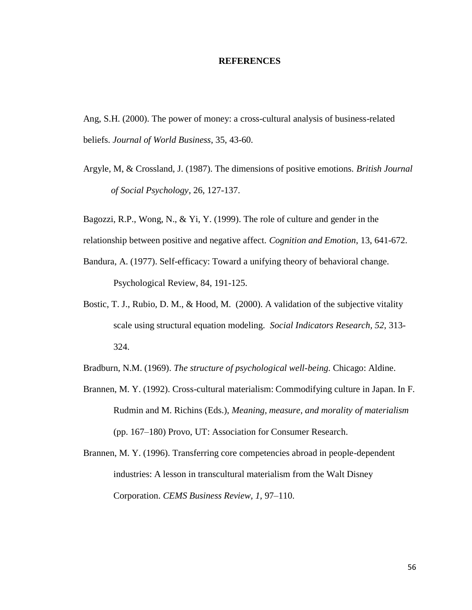### **REFERENCES**

Ang, S.H. (2000). The power of money: a cross-cultural analysis of business-related beliefs. *Journal of World Business*, 35, 43-60.

Argyle, M, & Crossland, J. (1987). The dimensions of positive emotions. *British Journal of Social Psychology*, 26, 127-137.

Bagozzi, R.P., Wong, N., & Yi, Y. (1999). The role of culture and gender in the

relationship between positive and negative affect. *Cognition and Emotion*, 13, 641-672.

- Bandura, A. (1977). Self-efficacy: Toward a unifying theory of behavioral change. Psychological Review, 84, 191-125.
- Bostic, T. J., Rubio, D. M., & Hood, M. (2000). A validation of the subjective vitality scale using structural equation modeling. *Social Indicators Research, 52,* 313- 324.

Bradburn, N.M. (1969). *The structure of psychological well-being.* Chicago: Aldine.

- Brannen, M. Y. (1992). Cross-cultural materialism: Commodifying culture in Japan. In F. Rudmin and M. Richins (Eds.), *Meaning, measure, and morality of materialism*  (pp. 167–180) Provo, UT: Association for Consumer Research.
- Brannen, M. Y. (1996). Transferring core competencies abroad in people-dependent industries: A lesson in transcultural materialism from the Walt Disney Corporation. *CEMS Business Review, 1,* 97–110.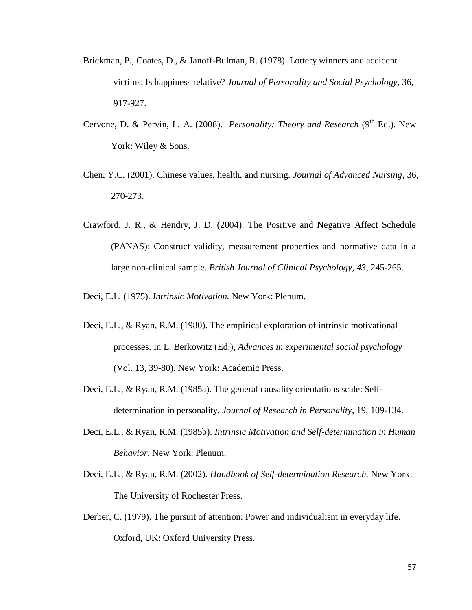- Brickman, P., Coates, D., & Janoff-Bulman, R. (1978). Lottery winners and accident victims: Is happiness relative? *Journal of Personality and Social Psychology*, 36, 917-927.
- Cervone, D. & Pervin, L. A. (2008). *Personality: Theory and Research* (9<sup>th</sup> Ed.). New York: Wiley & Sons.
- Chen, Y.C. (2001). Chinese values, health, and nursing. *Journal of Advanced Nursing*, 36, 270-273.
- Crawford, J. R., & Hendry, J. D. (2004). The Positive and Negative Affect Schedule (PANAS): Construct validity, measurement properties and normative data in a large non-clinical sample. *British Journal of Clinical Psychology, 43*, 245-265.
- Deci, E.L. (1975). *Intrinsic Motivation.* New York: Plenum.
- Deci, E.L., & Ryan, R.M. (1980). The empirical exploration of intrinsic motivational processes. In L. Berkowitz (Ed.), *Advances in experimental social psychology* (Vol. 13, 39-80). New York: Academic Press.
- Deci, E.L., & Ryan, R.M. (1985a). The general causality orientations scale: Selfdetermination in personality. *Journal of Research in Personality*, 19, 109-134.
- Deci, E.L., & Ryan, R.M. (1985b). *Intrinsic Motivation and Self-determination in Human Behavior*. New York: Plenum.
- Deci, E.L., & Ryan, R.M. (2002). *Handbook of Self-determination Research.* New York: The University of Rochester Press.
- Derber, C. (1979). The pursuit of attention: Power and individualism in everyday life. Oxford, UK: Oxford University Press.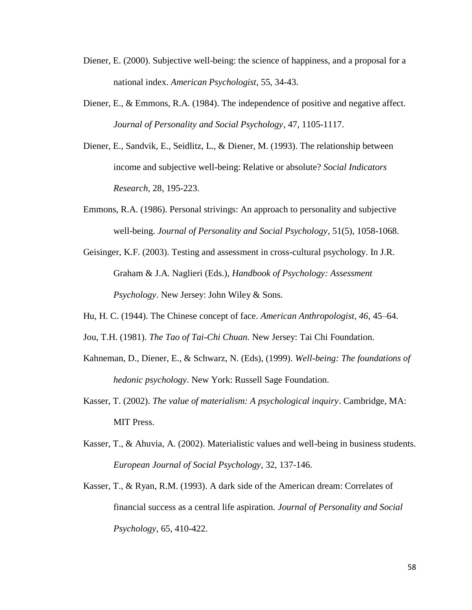- Diener, E. (2000). Subjective well-being: the science of happiness, and a proposal for a national index. *American Psychologist*, 55, 34-43.
- Diener, E., & Emmons, R.A. (1984). The independence of positive and negative affect. *Journal of Personality and Social Psychology*, 47, 1105-1117.
- Diener, E., Sandvik, E., Seidlitz, L., & Diener, M. (1993). The relationship between income and subjective well-being: Relative or absolute? *Social Indicators Research*, 28, 195-223.
- Emmons, R.A. (1986). Personal strivings: An approach to personality and subjective well-being. *Journal of Personality and Social Psychology*, 51(5), 1058-1068.
- Geisinger, K.F. (2003). Testing and assessment in cross-cultural psychology. In J.R. Graham & J.A. Naglieri (Eds.), *Handbook of Psychology: Assessment Psychology*. New Jersey: John Wiley & Sons.
- Hu, H. C. (1944). The Chinese concept of face. *American Anthropologist, 46,* 45–64.
- Jou, T.H. (1981). *The Tao of Tai-Chi Chuan.* New Jersey: Tai Chi Foundation.
- Kahneman, D., Diener, E., & Schwarz, N. (Eds), (1999). *Well-being: The foundations of hedonic psychology*. New York: Russell Sage Foundation.
- Kasser, T. (2002). *The value of materialism: A psychological inquiry*. Cambridge, MA: MIT Press.
- Kasser, T., & Ahuvia, A. (2002). Materialistic values and well-being in business students. *European Journal of Social Psychology*, 32, 137-146.
- Kasser, T., & Ryan, R.M. (1993). A dark side of the American dream: Correlates of financial success as a central life aspiration. *Journal of Personality and Social Psychology*, 65, 410-422.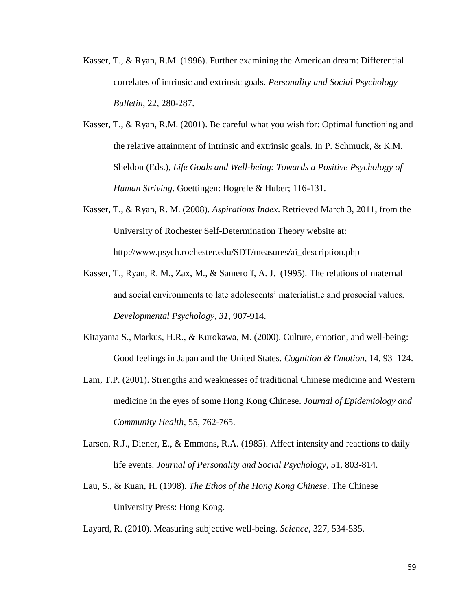- Kasser, T., & Ryan, R.M. (1996). Further examining the American dream: Differential correlates of intrinsic and extrinsic goals. *Personality and Social Psychology Bulletin*, 22, 280-287.
- Kasser, T., & Ryan, R.M. (2001). Be careful what you wish for: Optimal functioning and the relative attainment of intrinsic and extrinsic goals. In P. Schmuck, & K.M. Sheldon (Eds.), *Life Goals and Well-being: Towards a Positive Psychology of Human Striving*. Goettingen: Hogrefe & Huber; 116-131.
- Kasser, T., & Ryan, R. M. (2008). *Aspirations Index*. Retrieved March 3, 2011, from the University of Rochester Self-Determination Theory website at: http://www.psych.rochester.edu/SDT/measures/ai\_description.php
- Kasser, T., Ryan, R. M., Zax, M., & Sameroff, A. J. (1995). The relations of maternal and social environments to late adolescents' materialistic and prosocial values. *Developmental Psychology, 31,* 907-914.
- Kitayama S., Markus, H.R., & Kurokawa, M. (2000). Culture, emotion, and well-being: Good feelings in Japan and the United States. *Cognition & Emotion,* 14, 93–124.
- Lam, T.P. (2001). Strengths and weaknesses of traditional Chinese medicine and Western medicine in the eyes of some Hong Kong Chinese. *Journal of Epidemiology and Community Health*, 55, 762-765.
- Larsen, R.J., Diener, E., & Emmons, R.A. (1985). Affect intensity and reactions to daily life events. *Journal of Personality and Social Psychology*, 51, 803-814.
- Lau, S., & Kuan, H. (1998). *The Ethos of the Hong Kong Chinese*. The Chinese University Press: Hong Kong.
- Layard, R. (2010). Measuring subjective well-being. *Science*, 327, 534-535.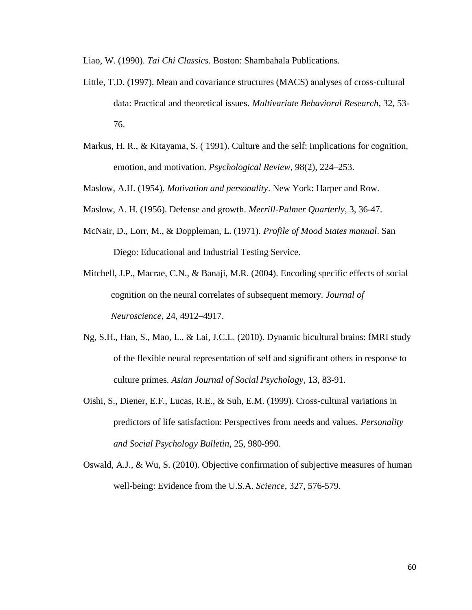Liao, W. (1990). *Tai Chi Classics.* Boston: Shambahala Publications.

- Little, T.D. (1997). Mean and covariance structures (MACS) analyses of cross-cultural data: Practical and theoretical issues. *Multivariate Behavioral Research*, 32, 53- 76.
- Markus, H. R., & Kitayama, S. ( 1991). Culture and the self: Implications for cognition, emotion, and motivation. *Psychological Review*, 98(2), 224–253.
- Maslow, A.H. (1954). *Motivation and personality*. New York: Harper and Row.
- Maslow, A. H. (1956). Defense and growth. *Merrill-Palmer Quarterly*, 3, 36-47.
- McNair, D., Lorr, M., & Doppleman, L. (1971). *Profile of Mood States manual*. San Diego: Educational and Industrial Testing Service.
- Mitchell, J.P., Macrae, C.N., & Banaji, M.R. (2004). Encoding specific effects of social cognition on the neural correlates of subsequent memory. *Journal of Neuroscience*, 24, 4912–4917.
- Ng, S.H., Han, S., Mao, L., & Lai, J.C.L. (2010). Dynamic bicultural brains: fMRI study of the flexible neural representation of self and significant others in response to culture primes. *Asian Journal of Social Psychology*, 13, 83-91.
- Oishi, S., Diener, E.F., Lucas, R.E., & Suh, E.M. (1999). Cross-cultural variations in predictors of life satisfaction: Perspectives from needs and values. *Personality and Social Psychology Bulletin*, 25, 980-990.
- Oswald, A.J., & Wu, S. (2010). Objective confirmation of subjective measures of human well-being: Evidence from the U.S.A. *Science*, 327, 576-579.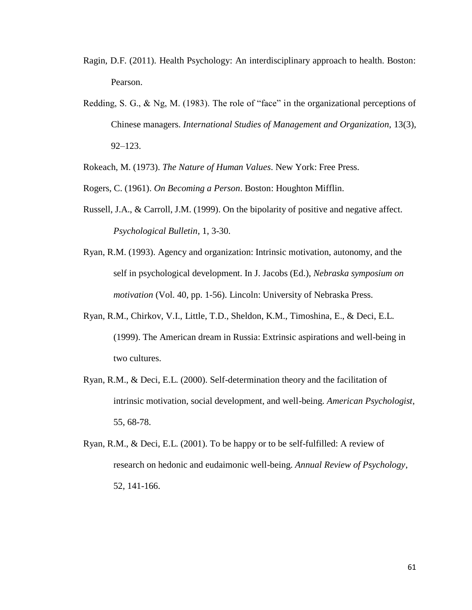- Ragin, D.F. (2011). Health Psychology: An interdisciplinary approach to health. Boston: Pearson.
- Redding, S. G.,  $\&$  Ng, M. (1983). The role of "face" in the organizational perceptions of Chinese managers. *International Studies of Management and Organization,* 13(3), 92–123.

Rokeach, M. (1973). *The Nature of Human Values*. New York: Free Press.

Rogers, C. (1961). *On Becoming a Person*. Boston: Houghton Mifflin.

- Russell, J.A., & Carroll, J.M. (1999). On the bipolarity of positive and negative affect. *Psychological Bulletin*, 1, 3-30.
- Ryan, R.M. (1993). Agency and organization: Intrinsic motivation, autonomy, and the self in psychological development. In J. Jacobs (Ed.), *Nebraska symposium on motivation* (Vol. 40, pp. 1-56). Lincoln: University of Nebraska Press.
- Ryan, R.M., Chirkov, V.I., Little, T.D., Sheldon, K.M., Timoshina, E., & Deci, E.L. (1999). The American dream in Russia: Extrinsic aspirations and well-being in two cultures.
- Ryan, R.M., & Deci, E.L. (2000). Self-determination theory and the facilitation of intrinsic motivation, social development, and well-being. *American Psychologist*, 55, 68-78.
- Ryan, R.M., & Deci, E.L. (2001). To be happy or to be self-fulfilled: A review of research on hedonic and eudaimonic well-being. *Annual Review of Psychology*, 52, 141-166.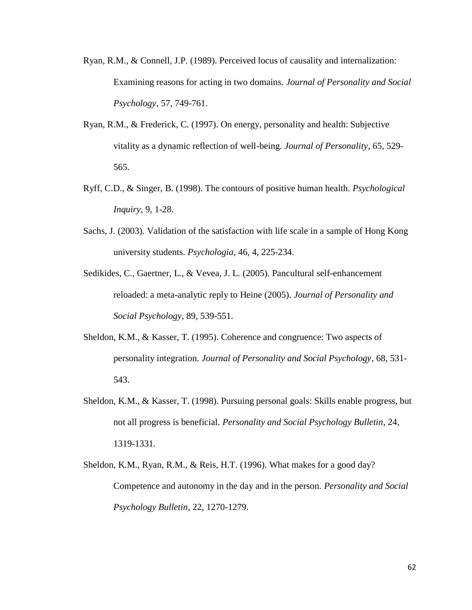- Ryan, R.M., & Connell, J.P. (1989). Perceived locus of causality and internalization: Examining reasons for acting in two domains. *Journal of Personality and Social Psychology*, 57, 749-761.
- Ryan, R.M., & Frederick, C. (1997). On energy, personality and health: Subjective vitality as a dynamic reflection of well-being. *Journal of Personality*, 65, 529- 565.
- Ryff, C.D., & Singer, B. (1998). The contours of positive human health. *Psychological Inquiry*, 9, 1-28.
- Sachs, J. (2003). Validation of the satisfaction with life scale in a sample of Hong Kong university students. *Psychologia*, 46, 4, 225-234.
- Sedikides, C., Gaertner, L., & Vevea, J. L. (2005). Pancultural self-enhancement reloaded: a meta-analytic reply to Heine (2005). *Journal of Personality and Social Psychology*, 89, 539-551.
- Sheldon, K.M., & Kasser, T. (1995). Coherence and congruence: Two aspects of personality integration. *Journal of Personality and Social Psychology*, 68, 531- 543.
- Sheldon, K.M., & Kasser, T. (1998). Pursuing personal goals: Skills enable progress, but not all progress is beneficial. *Personality and Social Psychology Bulletin*, 24, 1319-1331.
- Sheldon, K.M., Ryan, R.M., & Reis, H.T. (1996). What makes for a good day? Competence and autonomy in the day and in the person. *Personality and Social Psychology Bulletin*, 22, 1270-1279.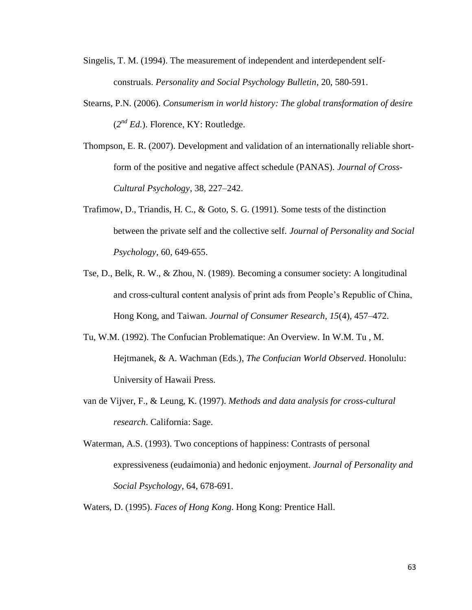- Singelis, T. M. (1994). The measurement of independent and interdependent selfconstruals. *Personality and Social Psychology Bulletin*, 20, 580-591.
- Stearns, P.N. (2006). *Consumerism in world history: The global transformation of desire* (*2 nd Ed.*). Florence, KY: Routledge.
- Thompson, E. R. (2007). Development and validation of an internationally reliable shortform of the positive and negative affect schedule (PANAS). *Journal of Cross-Cultural Psychology*, 38, 227–242.
- Trafimow, D., Triandis, H. C., & Goto, S. G. (1991). Some tests of the distinction between the private self and the collective self. *Journal of Personality and Social Psychology*, 60, 649-655.
- Tse, D., Belk, R. W., & Zhou, N. (1989). Becoming a consumer society: A longitudinal and cross-cultural content analysis of print ads from People's Republic of China, Hong Kong, and Taiwan. *Journal of Consumer Research, 15*(4), 457–472.
- Tu, W.M. (1992). The Confucian Problematique: An Overview. In W.M. Tu , M. Hejtmanek, & A. Wachman (Eds.), *The Confucian World Observed*. Honolulu: University of Hawaii Press.
- van de Vijver, F., & Leung, K. (1997). *Methods and data analysis for cross-cultural research*. California: Sage.
- Waterman, A.S. (1993). Two conceptions of happiness: Contrasts of personal expressiveness (eudaimonia) and hedonic enjoyment. *Journal of Personality and Social Psychology*, 64, 678-691.
- Waters, D. (1995). *Faces of Hong Kong.* Hong Kong: Prentice Hall.